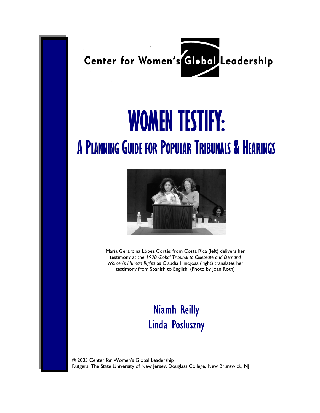

# **WOMEN TESTIFY: TESTIFY: A PLANNING LANNING GUIDE FOR POPULAR TRIBUNALS RIBUNALS RIBUNALS & HEARINGS EARINGS EARINGS**



María Gerardina López Cortés from Costa Rica (left) delivers her testimony at the *1998 Global Tribunal to Celebrate and Demand Women's Human Rights* as Claudia Hinojosa (right) translates her testimony from Spanish to English. (Photo by Joan Roth)

## Niamh Reilly Linda Posluszny

Rutgers, The State University of New Jersey, Douglass College, New Brunswick, NJ © 2005 Center for Women's Global Leadership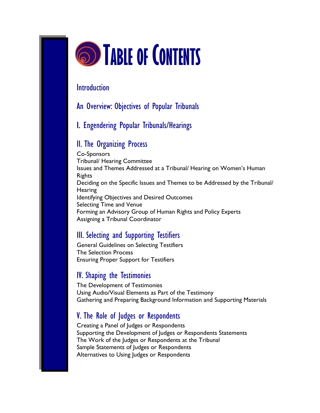

### Introduction

## An Overview: Objectives of Popular Tribunals

## I. Engendering Popular Tribunals/Hearings

## II. The Organizing Process

Co-Sponsors Tribunal/ Hearing Committee Issues and Themes Addressed at a Tribunal/ Hearing on Women's Human Rights Deciding on the Specific Issues and Themes to be Addressed by the Tribunal/ **Hearing** Identifying Objectives and Desired Outcomes Selecting Time and Venue Forming an Advisory Group of Human Rights and Policy Experts Assigning a Tribunal Coordinator

## III. Selecting and Supporting Testifiers

General Guidelines on Selecting Testifiers The Selection Process Ensuring Proper Support for Testifiers

## IV. Shaping the Testimonies

The Development of Testimonies Using Audio/Visual Elements as Part of the Testimony Gathering and Preparing Background Information and Supporting Materials

## V. The Role of Judges or Respondents

Creating a Panel of Judges or Respondents Supporting the Development of Judges or Respondents Statements The Work of the Judges or Respondents at the Tribunal Sample Statements of Judges or Respondents Alternatives to Using Judges or Respondents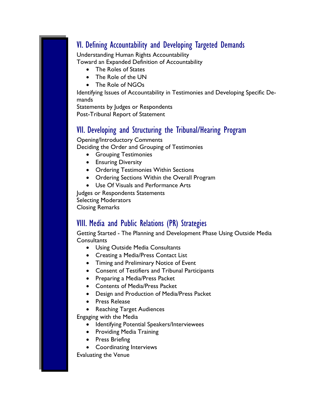## VI. Defining Accountability and Developing Targeted Demands

Understanding Human Rights Accountability Toward an Expanded Definition of Accountability

- The Roles of States
- The Role of the UN
- The Role of NGOs

Identifying Issues of Accountability in Testimonies and Developing Specific Demands

Statements by Judges or Respondents Post-Tribunal Report of Statement

### VII. Developing and Structuring the Tribunal/Hearing Program

Opening/Introductory Comments

Deciding the Order and Grouping of Testimonies

- Grouping Testimonies
- Ensuring Diversity
- Ordering Testimonies Within Sections
- Ordering Sections Within the Overall Program
- Use Of Visuals and Performance Arts

Judges or Respondents Statements Selecting Moderators Closing Remarks

### VIII. Media and Public Relations (PR) Strategies

Getting Started - The Planning and Development Phase Using Outside Media **Consultants** 

- Using Outside Media Consultants
- Creating a Media/Press Contact List
- Timing and Preliminary Notice of Event
- Consent of Testifiers and Tribunal Participants
- Preparing a Media/Press Packet
- Contents of Media/Press Packet
- Design and Production of Media/Press Packet
- Press Release
- Reaching Target Audiences

Engaging with the Media

- Identifying Potential Speakers/Interviewees
- Providing Media Training
- Press Briefing
- Coordinating Interviews

Evaluating the Venue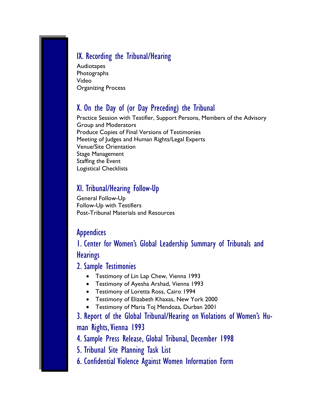### IX. Recording the Tribunal/Hearing

Audiotapes **Photographs** Video Organizing Process

## X. On the Day of (or Day Preceding) the Tribunal

Practice Session with Testifier, Support Persons, Members of the Advisory Group and Moderators Produce Copies of Final Versions of Testimonies Meeting of Judges and Human Rights/Legal Experts Venue/Site Orientation Stage Management Staffing the Event Logistical Checklists

## XI. Tribunal/Hearing Follow-Up

General Follow-Up Follow-Up with Testifiers Post-Tribunal Materials and Resources

## **Appendices**

1. Center for Women's Global Leadership Summary of Tribunals and **Hearings** 

### 2. Sample Testimonies

- Testimony of Lin Lap Chew, Vienna 1993
- Testimony of Ayesha Arshad, Vienna 1993
- Testimony of Loretta Ross, Cairo 1994
- Testimony of Elizabeth Khaxas, New York 2000
- Testimony of Maria Toj Mendoza, Durban 2001

3. Report of the Global Tribunal/Hearing on Violations of Women's Human Rights, Vienna 1993

4. Sample Press Release, Global Tribunal, December 1998

- 5. Tribunal Site Planning Task List
- 6. Confidential Violence Against Women Information Form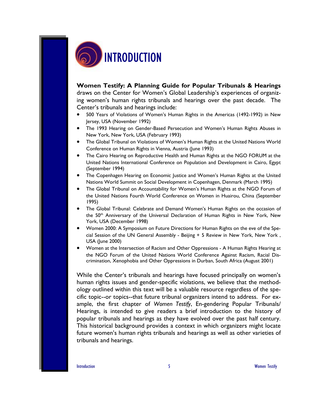

**Women Testify: A Planning Guide for Popular Tribunals & Hearings** draws on the Center for Women's Global Leadership's experiences of organizing women's human rights tribunals and hearings over the past decade. The Center's tribunals and hearings include:

- 500 Years of Violations of Women's Human Rights in the Americas (1492-1992) in New Jersey, USA (November 1992)
- The 1993 Hearing on Gender-Based Persecution and Women's Human Rights Abuses in New York, New York, USA (February 1993)
- The Global Tribunal on Violations of Women's Human Rights at the United Nations World Conference on Human Rights in Vienna, Austria (June 1993)
- The Cairo Hearing on Reproductive Health and Human Rights at the NGO FORUM at the United Nations International Conference on Population and Development in Cairo, Egypt (September 1994)
- The Copenhagen Hearing on Economic Justice and Women's Human Rights at the United Nations World Summit on Social Development in Copenhagen, Denmark (March 1995)
- The Global Tribunal on Accountability for Women's Human Rights at the NGO Forum of the United Nations Fourth World Conference on Women in Huairou, China (September 1995)
- The Global Tribunal: Celebrate and Demand Women's Human Rights on the occasion of the 50<sup>th</sup> Anniversary of the Universal Declaration of Human Rights in New York, New York, USA (December 1998)
- Women 2000: A Symposium on Future Directions for Human Rights on the eve of the Special Session of the UN General Assembly - Beijing + 5 Review in New York, New York , USA (June 2000)
- Women at the Intersection of Racism and Other Oppressions A Human Rights Hearing at the NGO Forum of the United Nations World Conference Against Racism, Racial Discrimination, Xenophobia and Other Oppressions in Durban, South Africa (August 2001)

While the Center's tribunals and hearings have focused principally on women's human rights issues and gender-specific violations, we believe that the methodology outlined within this text will be a valuable resource regardless of the specific topic--or topics--that future tribunal organizers intend to address. For example, the first chapter of *Women Testify*, En-gendering Popular Tribunals/ Hearings, is intended to give readers a brief introduction to the history of popular tribunals and hearings as they have evolved over the past half century. This historical background provides a context in which organizers might locate future women's human rights tribunals and hearings as well as other varieties of tribunals and hearings.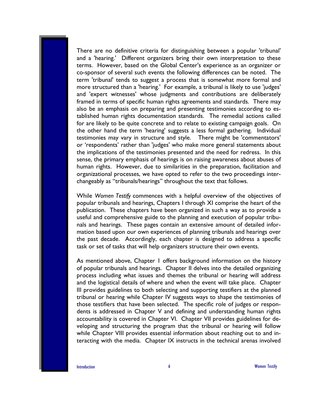There are no definitive criteria for distinguishing between a popular 'tribunal' and a 'hearing.' Different organizers bring their own interpretation to these terms. However, based on the Global Center's experience as an organizer or co-sponsor of several such events the following differences can be noted. The term 'tribunal' tends to suggest a process that is somewhat more formal and more structured than a 'hearing.' For example, a tribunal is likely to use 'judges' and 'expert witnesses' whose judgments and contributions are deliberately framed in terms of specific human rights agreements and standards. There may also be an emphasis on preparing and presenting testimonies according to established human rights documentation standards. The remedial actions called for are likely to be quite concrete and to relate to existing campaign goals. On the other hand the term 'hearing' suggests a less formal gathering. Individual testimonies may vary in structure and style. There might be 'commentators' or 'respondents' rather than 'judges' who make more general statements about the implications of the testimonies presented and the need for redress. In this sense, the primary emphasis of hearings is on raising awareness about abuses of human rights. However, due to similarities in the preparation, facilitation and organizational processes, we have opted to refer to the two proceedings interchangeably as "tribunals/hearings" throughout the text that follows.

While *Women Testify* commences with a helpful overview of the objectives of popular tribunals and hearings, Chapters I through XI comprise the heart of the publication. These chapters have been organized in such a way as to provide a useful and comprehensive guide to the planning and execution of popular tribunals and hearings. These pages contain an extensive amount of detailed information based upon our own experiences of planning tribunals and hearings over the past decade. Accordingly, each chapter is designed to address a specific task or set of tasks that will help organizers structure their own events.

As mentioned above, Chapter 1 offers background information on the history of popular tribunals and hearings. Chapter II delves into the detailed organizing process including what issues and themes the tribunal or hearing will address and the logistical details of where and when the event will take place. Chapter III provides guidelines to both selecting and supporting testifiers at the planned tribunal or hearing while Chapter IV suggests ways to shape the testimonies of those testifiers that have been selected. The specific role of judges or respondents is addressed in Chapter V and defining and understanding human rights accountability is covered in Chapter VI. Chapter VII provides guidelines for developing and structuring the program that the tribunal or hearing will follow while Chapter VIII provides essential information about reaching out to and interacting with the media. Chapter IX instructs in the technical arenas involved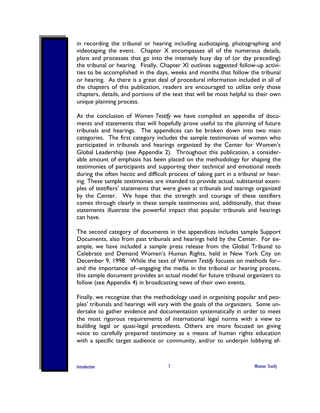in recording the tribunal or hearing including audiotaping, photographing and videotaping the event. Chapter  $X$  encompasses all of the numerous details, plans and processes that go into the intensely busy day of (or day preceding) the tribunal or hearing. Finally, Chapter XI outlines suggested follow-up activities to be accomplished in the days, weeks and months that follow the tribunal or hearing. As there is a great deal of procedural information included in all of the chapters of this publication, readers are encouraged to utilize only those chapters, details, and portions of the text that will be most helpful to their own unique planning process.

At the conclusion of *Women Testify* we have compiled an appendix of documents and statements that will hopefully prove useful to the planning of future tribunals and hearings. The appendices can be broken down into two main categories. The first category includes the sample testimonies of women who participated in tribunals and hearings organized by the Center for Women's Global Leadership (see Appendix 2). Throughout this publication, a considerable amount of emphasis has been placed on the methodology for shaping the testimonies of participants and supporting their technical and emotional needs during the often hectic and difficult process of taking part in a tribunal or hearing. These sample testimonies are intended to provide actual, substantial examples of testifiers' statements that were given at tribunals and tearings organized by the Center. We hope that the strength and courage of these testifiers comes through clearly in these sample testimonies and, additionally, that these statements illustrate the powerful impact that popular tribunals and hearings can have.

The second category of documents in the appendices includes sample Support Documents, also from past tribunals and hearings held by the Center. For example, we have included a sample press release from the Global Tribunal to Celebrate and Demand Women's Human Rights, held in New York City on December 9, 1998. While the text of *Women Testify* focuses on methods for- and the importance of--engaging the media in the tribunal or hearing process, this sample document provides an actual model for future tribunal organizers to follow (see Appendix 4) in broadcasting news of their own events.

Finally, we recognize that the methodology used in organizing popular and peoples' tribunals and hearings will vary with the goals of the organizers. Some undertake to gather evidence and documentation systematically in order to meet the most rigorous requirements of international legal norms with a view to building legal or quasi-legal precedents. Others are more focused on giving voice to carefully prepared testimony as a means of human rights education with a specific target audience or community, and/or to underpin lobbying ef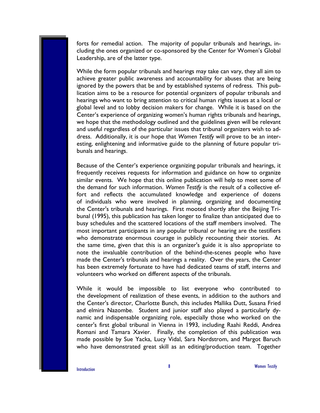forts for remedial action. The majority of popular tribunals and hearings, including the ones organized or co-sponsored by the Center for Women's Global Leadership, are of the latter type.

While the form popular tribunals and hearings may take can vary, they all aim to achieve greater public awareness and accountability for abuses that are being ignored by the powers that be and by established systems of redress. This publication aims to be a resource for potential organizers of popular tribunals and hearings who want to bring attention to critical human rights issues at a local or global level and to lobby decision makers for change. While it is based on the Center's experience of organizing women's human rights tribunals and hearings, we hope that the methodology outlined and the guidelines given will be relevant and useful regardless of the particular issues that tribunal organizers wish to address. Additionally, it is our hope that *Women Testify* will prove to be an interesting, enlightening and informative guide to the planning of future popular tribunals and hearings.

Because of the Center's experience organizing popular tribunals and hearings, it frequently receives requests for information and guidance on how to organize similar events. We hope that this online publication will help to meet some of the demand for such information. *Women Testify* is the result of a collective effort and reflects the accumulated knowledge and experience of dozens of individuals who were involved in planning, organizing and documenting the Center's tribunals and hearings. First mooted shortly after the Beijing Tribunal (1995), this publication has taken longer to finalize than anticipated due to busy schedules and the scattered locations of the staff members involved. The most important participants in any popular tribunal or hearing are the testifiers who demonstrate enormous courage in publicly recounting their stories. At the same time, given that this is an organizer's guide it is also appropriate to note the invaluable contribution of the behind-the-scenes people who have made the Center's tribunals and hearings a reality. Over the years, the Center has been extremely fortunate to have had dedicated teams of staff, interns and volunteers who worked on different aspects of the tribunals.

While it would be impossible to list everyone who contributed to the development of realization of these events, in addition to the authors and the Center's director, Charlotte Bunch, this includes Mallika Dutt, Susana Fried and elmira Nazombe. Student and junior staff also played a particularly dynamic and indispensable organizing role, especially those who worked on the center's first global tribunal in Vienna in 1993, including Raahi Reddi, Andrea Romani and Tamara Xavier. Finally, the completion of this publication was made possible by Sue Yacka, Lucy Vidal, Sara Nordstrom, and Margot Baruch who have demonstrated great skill as an editing/production team. Together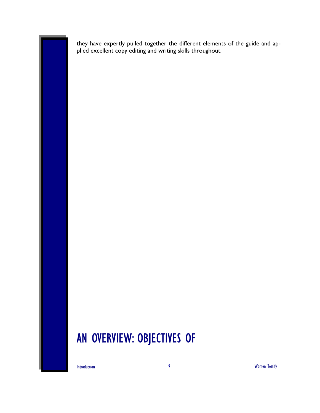they have expertly pulled together the different elements of the guide and applied excellent copy editing and writing skills throughout.

## AN OVERVIEW: OBJECTIVES OF

Introduction

9 Women Testify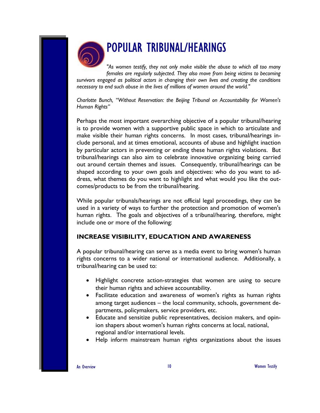

## POPULAR TRIBUNAL/HEARINGS

*"As women testify, they not only make visible the abuse to which all too many females are regularly subjected. They also move from being victims to becoming survivors engaged as political actors in changing their own lives and creating the conditions necessary to end such abuse in the lives of millions of women around the world."* 

*Charlotte Bunch, "Without Reservation: the Beijing Tribunal on Accountability for Women's Human Rights"*

Perhaps the most important overarching objective of a popular tribunal/hearing is to provide women with a supportive public space in which to articulate and make visible their human rights concerns. In most cases, tribunal/hearings include personal, and at times emotional, accounts of abuse and highlight inaction by particular actors in preventing or ending these human rights violations. But tribunal/hearings can also aim to celebrate innovative organizing being carried out around certain themes and issues. Consequently, tribunal/hearings can be shaped according to your own goals and objectives: who do you want to address, what themes do you want to highlight and what would you like the outcomes/products to be from the tribunal/hearing.

While popular tribunals/hearings are not official legal proceedings, they can be used in a variety of ways to further the protection and promotion of women's human rights. The goals and objectives of a tribunal/hearing, therefore, might include one or more of the following:

#### **INCREASE VISIBILITY, EDUCATION AND AWARENESS**

A popular tribunal/hearing can serve as a media event to bring women's human rights concerns to a wider national or international audience. Additionally, a tribunal/hearing can be used to:

- Highlight concrete action-strategies that women are using to secure their human rights and achieve accountability.
- Facilitate education and awareness of women's rights as human rights among target audiences – the local community, schools, government departments, policymakers, service providers, etc.
- Educate and sensitize public representatives, decision makers, and opinion shapers about women's human rights concerns at local, national, regional and/or international levels.
- Help inform mainstream human rights organizations about the issues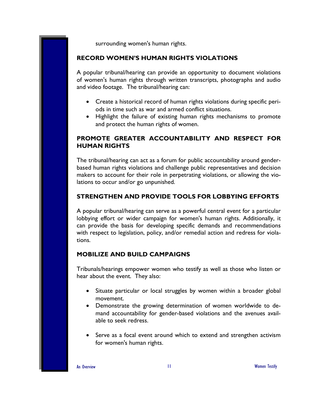surrounding women's human rights.

#### **RECORD WOMEN'S HUMAN RIGHTS VIOLATIONS**

A popular tribunal/hearing can provide an opportunity to document violations of women's human rights through written transcripts, photographs and audio and video footage. The tribunal/hearing can:

- Create a historical record of human rights violations during specific periods in time such as war and armed conflict situations.
- Highlight the failure of existing human rights mechanisms to promote and protect the human rights of women.

#### **PROMOTE GREATER ACCOUNTABILITY AND RESPECT FOR HUMAN RIGHTS**

The tribunal/hearing can act as a forum for public accountability around genderbased human rights violations and challenge public representatives and decision makers to account for their role in perpetrating violations, or allowing the violations to occur and/or go unpunished.

#### **STRENGTHEN AND PROVIDE TOOLS FOR LOBBYING EFFORTS**

A popular tribunal/hearing can serve as a powerful central event for a particular lobbying effort or wider campaign for women's human rights. Additionally, it can provide the basis for developing specific demands and recommendations with respect to legislation, policy, and/or remedial action and redress for violations.

#### **MOBILIZE AND BUILD CAMPAIGNS**

Tribunals/hearings empower women who testify as well as those who listen or hear about the event. They also:

- Situate particular or local struggles by women within a broader global movement.
- Demonstrate the growing determination of women worldwide to demand accountability for gender-based violations and the avenues available to seek redress.
- Serve as a focal event around which to extend and strengthen activism for women's human rights.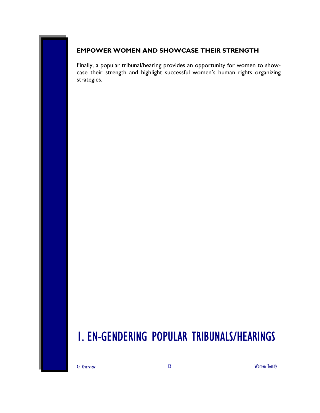#### **EMPOWER WOMEN AND SHOWCASE THEIR STRENGTH**

Finally, a popular tribunal/hearing provides an opportunity for women to showcase their strength and highlight successful women's human rights organizing strategies.

## 1. EN-GENDERING POPULAR TRIBUNALS/HEARINGS

An Overview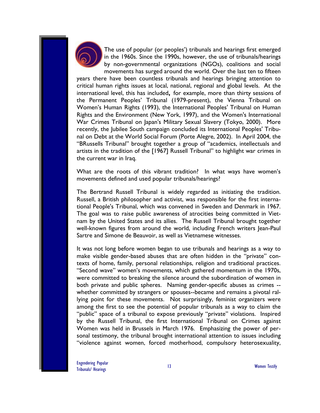

The use of popular (or peoples') tribunals and hearings first emerged in the 1960s. Since the 1990s, however, the use of tribunals/hearings by non-governmental organizations (NGOs), coalitions and social movements has surged around the world. Over the last ten to fifteen

years there have been countless tribunals and hearings bringing attention to critical human rights issues at local, national, regional and global levels. At the international level, this has included**,** for example, more than thirty sessions of the Permanent Peoples' Tribunal (1979-present), the Vienna Tribunal on Women's Human Rights (1993), the International Peoples' Tribunal on Human Rights and the Environment (New York, 1997), and the Women's International War Crimes Tribunal on Japan's Military Sexual Slavery (Tokyo, 2000). More recently, the Jubilee South campaign concluded its International Peoples' Tribunal on Debt at the World Social Forum (Porte Alegre, 2002). In April 2004, the "BRussells Tribunal" brought together a group of "academics, intellectuals and artists in the tradition of the [1967] Russell Tribunal" to highlight war crimes in the current war in Iraq.

What are the roots of this vibrant tradition? In what ways have women's movements defined and used popular tribunals/hearings?

The Bertrand Russell Tribunal is widely regarded as initiating the tradition. Russell, a British philosopher and activist, was responsible for the first international People's Tribunal, which was convened in Sweden and Denmark in 1967. The goal was to raise public awareness of atrocities being committed in Vietnam by the United States and its allies. The Russell Tribunal brought together well-known figures from around the world, including French writers Jean-Paul Sartre and Simone de Beauvoir, as well as Vietnamese witnesses.

It was not long before women began to use tribunals and hearings as a way to make visible gender-based abuses that are often hidden in the "private" contexts of home, family, personal relationships, religion and traditional practices. "Second wave" women's movements, which gathered momentum in the 1970s, were committed to breaking the silence around the subordination of women in both private and public spheres. Naming gender-specific abuses as crimes - whether committed by strangers or spouses--became and remains a pivotal rallying point for these movements. Not surprisingly, feminist organizers were among the first to see the potential of popular tribunals as a way to claim the "public" space of a tribunal to expose previously "private" violations. Inspired by the Russell Tribunal, the first International Tribunal on Crimes against Women was held in Brussels in March 1976. Emphasizing the power of personal testimony, the tribunal brought international attention to issues including "violence against women, forced motherhood, compulsory heterosexuality,

Engendering Popular Tribunals/ Hearings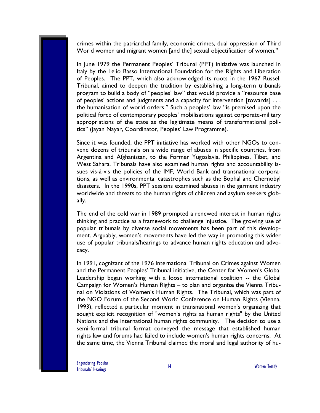crimes within the patriarchal family, economic crimes, dual oppression of Third World women and migrant women [and the] sexual objectification of women."

In June 1979 the Permanent Peoples' Tribunal (PPT) initiative was launched in Italy by the Lelio Basso International Foundation for the Rights and Liberation of Peoples. The PPT, which also acknowledged its roots in the 1967 Russell Tribunal, aimed to deepen the tradition by establishing a long-term tribunals program to build a body of "peoples' law" that would provide a "resource base of peoples' actions and judgments and a capacity for intervention [towards] . . . the humanisation of world orders." Such a peoples' law "is premised upon the political force of contemporary peoples' mobilisations against corporate-military appropriations of the state as the legitimate means of transformational politics" (Jayan Nayar, Coordinator, Peoples' Law Programme).

Since it was founded, the PPT initiative has worked with other NGOs to convene dozens of tribunals on a wide range of abuses in specific countries, from Argentina and Afghanistan, to the Former Yugoslavia, Philippines, Tibet, and West Sahara. Tribunals have also examined human rights and accountability issues vis-à-vis the policies of the IMF, World Bank and transnational corporations, as well as environmental catastrophes such as the Bophal and Chernobyl disasters. In the 1990s, PPT sessions examined abuses in the garment industry worldwide and threats to the human rights of children and asylum seekers globally.

The end of the cold war in 1989 prompted a renewed interest in human rights thinking and practice as a framework to challenge injustice. The growing use of popular tribunals by diverse social movements has been part of this development. Arguably, women's movements have led the way in promoting this wider use of popular tribunals/hearings to advance human rights education and advocacy.

In 1991, cognizant of the 1976 International Tribunal on Crimes against Women and the Permanent Peoples' Tribunal initiative, the Center for Women's Global Leadership began working with a loose international coalition -- the Global Campaign for Women's Human Rights – to plan and organize the Vienna Tribunal on Violations of Women's Human Rights. The Tribunal, which was part of the NGO Forum of the Second World Conference on Human Rights (Vienna, 1993), reflected a particular moment in transnational women's organizing that sought explicit recognition of "women's rights as human rights" by the United Nations and the international human rights community. The decision to use a semi-formal tribunal format conveyed the message that established human rights law and forums had failed to include women's human rights concerns. At the same time, the Vienna Tribunal claimed the moral and legal authority of hu-

**Engendering Popular** Tribunals/ Hearings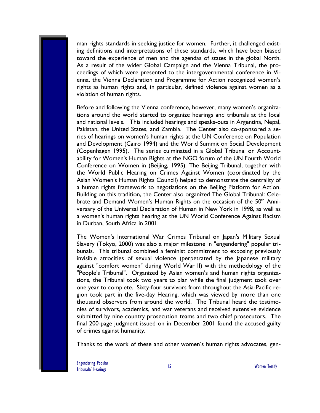man rights standards in seeking justice for women. Further, it challenged existing definitions and interpretations of these standards, which have been biased toward the experience of men and the agendas of states in the global North. As a result of the wider Global Campaign and the Vienna Tribunal, the proceedings of which were presented to the intergovernmental conference in Vienna, the Vienna Declaration and Programme for Action recognized women's rights as human rights and, in particular, defined violence against women as a violation of human rights.

Before and following the Vienna conference, however, many women's organizations around the world started to organize hearings and tribunals at the local and national levels. This included hearings and speaks-outs in Argentina, Nepal, Pakistan, the United States, and Zambia. The Center also co-sponsored a series of hearings on women's human rights at the UN Conference on Population and Development (Cairo 1994) and the World Summit on Social Development (Copenhagen 1995). The series culminated in a Global Tribunal on Accountability for Women's Human Rights at the NGO forum of the UN Fourth World Conference on Women in (Beijing, 1995). The Beijing Tribunal, together with the World Public Hearing on Crimes Against Women (coordinated by the Asian Women's Human Rights Council) helped to demonstrate the centrality of a human rights framework to negotiations on the Beijing Platform for Action. Building on this tradition, the Center also organized The Global Tribunal: Celebrate and Demand Women's Human Rights on the occasion of the 50<sup>th</sup> Anniversary of the Universal Declaration of Human in New York in 1998, as well as a women's human rights hearing at the UN World Conference Against Racism in Durban, South Africa in 2001.

The Women's International War Crimes Tribunal on Japan's Military Sexual Slavery (Tokyo, 2000) was also a major milestone in "engendering" popular tribunals. This tribunal combined a feminist commitment to exposing previously invisible atrocities of sexual violence (perpetrated by the Japanese military against "comfort women" during World War II) with the methodology of the "People's Tribunal". Organized by Asian women's and human rights organizations, the Tribunal took two years to plan while the final judgment took over one year to complete. Sixty-four survivors from throughout the Asia-Pacific region took part in the five-day Hearing, which was viewed by more than one thousand observers from around the world. The Tribunal heard the testimonies of survivors, academics, and war veterans and received extensive evidence submitted by nine country prosecution teams and two chief prosecutors. The final 200-page judgment issued on in December 2001 found the accused guilty of crimes against humanity.

Thanks to the work of these and other women's human rights advocates, gen-

**Engendering Popular** Tribunals/ Hearings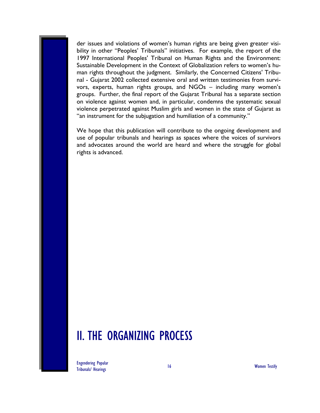der issues and violations of women's human rights are being given greater visibility in other "Peoples' Tribunals" initiatives. For example, the report of the 1997 International Peoples' Tribunal on Human Rights and the Environment: Sustainable Development in the Context of Globalization refers to women's human rights throughout the judgment. Similarly, the Concerned Citizens' Tribunal - Gujarat 2002 collected extensive oral and written testimonies from survivors, experts, human rights groups, and NGOs – including many women's groups. Further, the final report of the Gujarat Tribunal has a separate section on violence against women and, in particular, condemns the systematic sexual violence perpetrated against Muslim girls and women in the state of Gujarat as "an instrument for the subjugation and humiliation of a community."

We hope that this publication will contribute to the ongoing development and use of popular tribunals and hearings as spaces where the voices of survivors and advocates around the world are heard and where the struggle for global rights is advanced.

## II. THE ORGANIZING PROCESS

Engendering Popular Tribunals/ Hearings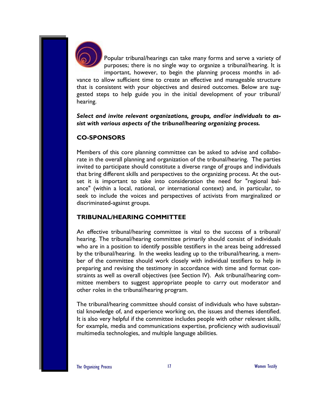

Popular tribunal/hearings can take many forms and serve a variety of purposes; there is no single way to organize a tribunal/hearing. It is important, however, to begin the planning process months in ad-

vance to allow sufficient time to create an effective and manageable structure that is consistent with your objectives and desired outcomes. Below are suggested steps to help guide you in the initial development of your tribunal/ hearing.

*Select and invite relevant organizations, groups, and/or individuals to assist with various aspects of the tribunal/hearing organizing process.* 

#### **CO-SPONSORS**

Members of this core planning committee can be asked to advise and collaborate in the overall planning and organization of the tribunal/hearing. The parties invited to participate should constitute a diverse range of groups and individuals that bring different skills and perspectives to the organizing process. At the outset it is important to take into consideration the need for "regional balance" (within a local, national, or international context) and, in particular, to seek to include the voices and perspectives of activists from marginalized or discriminated-against groups.

#### **TRIBUNAL/HEARING COMMITTEE**

An effective tribunal/hearing committee is vital to the success of a tribunal/ hearing. The tribunal/hearing committee primarily should consist of individuals who are in a position to identify possible testifiers in the areas being addressed by the tribunal/hearing. In the weeks leading up to the tribunal/hearing, a member of the committee should work closely with individual testifiers to help in preparing and revising the testimony in accordance with time and format constraints as well as overall objectives (see Section IV). Ask tribunal/hearing committee members to suggest appropriate people to carry out moderator and other roles in the tribunal/hearing program.

The tribunal/hearing committee should consist of individuals who have substantial knowledge of, and experience working on, the issues and themes identified. It is also very helpful if the committee includes people with other relevant skills, for example, media and communications expertise, proficiency with audiovisual/ multimedia technologies, and multiple language abilities.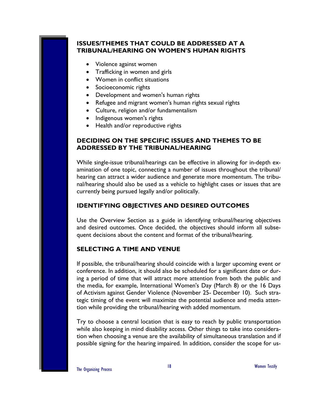#### **ISSUES/THEMES THAT COULD BE ADDRESSED AT A TRIBUNAL/HEARING ON WOMEN'S HUMAN RIGHTS**

- Violence against women
- Trafficking in women and girls
- Women in conflict situations
- Socioeconomic rights
- Development and women's human rights
- Refugee and migrant women's human rights sexual rights
- Culture, religion and/or fundamentalism
- Indigenous women's rights
- Health and/or reproductive rights

#### **DECIDING ON THE SPECIFIC ISSUES AND THEMES TO BE ADDRESSED BY THE TRIBUNAL/HEARING**

While single-issue tribunal/hearings can be effective in allowing for in-depth examination of one topic, connecting a number of issues throughout the tribunal/ hearing can attract a wider audience and generate more momentum. The tribunal/hearing should also be used as a vehicle to highlight cases or issues that are currently being pursued legally and/or politically.

#### **IDENTIFYING OBJECTIVES AND DESIRED OUTCOMES**

Use the Overview Section as a guide in identifying tribunal/hearing objectives and desired outcomes. Once decided, the objectives should inform all subsequent decisions about the content and format of the tribunal/hearing.

#### **SELECTING A TIME AND VENUE**

If possible, the tribunal/hearing should coincide with a larger upcoming event or conference. In addition, it should also be scheduled for a significant date or during a period of time that will attract more attention from both the public and the media, for example, International Women's Day (March 8) or the 16 Days of Activism against Gender Violence (November 25- December 10). Such strategic timing of the event will maximize the potential audience and media attention while providing the tribunal/hearing with added momentum.

Try to choose a central location that is easy to reach by public transportation while also keeping in mind disability access. Other things to take into consideration when choosing a venue are the availability of simultaneous translation and if possible signing for the hearing impaired. In addition, consider the scope for us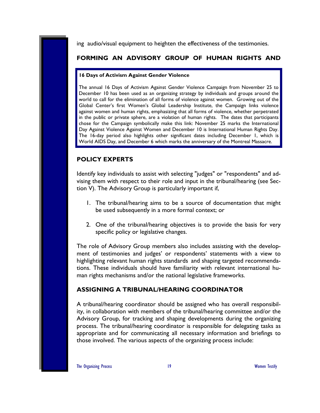ing audio/visual equipment to heighten the effectiveness of the testimonies.

#### **FORMING AN ADVISORY GROUP OF HUMAN RIGHTS AND**

#### **16 Days of Activism Against Gender Violence**

The annual 16 Days of Activism Against Gender Violence Campaign from November 25 to December 10 has been used as an organizing strategy by individuals and groups around the world to call for the elimination of all forms of violence against women. Growing out of the Global Center's first Women's Global Leadership Institute, the Campaign links violence against women and human rights, emphasizing that all forms of violence, whether perpetrated in the public or private sphere, are a violation of human rights. The dates that participants chose for the Campaign symbolically make this link: November 25 marks the International Day Against Violence Against Women and December 10 is International Human Rights Day. The 16-day period also highlights other significant dates including December 1, which is World AIDS Day, and December 6 which marks the anniversary of the Montreal Massacre.

#### **POLICY EXPERTS**

Identify key individuals to assist with selecting "judges" or "respondents" and advising them with respect to their role and input in the tribunal/hearing (see Section V). The Advisory Group is particularly important if,

- 1. The tribunal/hearing aims to be a source of documentation that might be used subsequently in a more formal context; or
- 2. One of the tribunal/hearing objectives is to provide the basis for very specific policy or legislative changes.

The role of Advisory Group members also includes assisting with the development of testimonies and judges' or respondents' statements with a view to highlighting relevant human rights standards and shaping targeted recommendations. These individuals should have familiarity with relevant international human rights mechanisms and/or the national legislative frameworks.

#### **ASSIGNING A TRIBUNAL/HEARING COORDINATOR**

A tribunal/hearing coordinator should be assigned who has overall responsibility, in collaboration with members of the tribunal/hearing committee and/or the Advisory Group, for tracking and shaping developments during the organizing process. The tribunal/hearing coordinator is responsible for delegating tasks as appropriate and for communicating all necessary information and briefings to those involved. The various aspects of the organizing process include: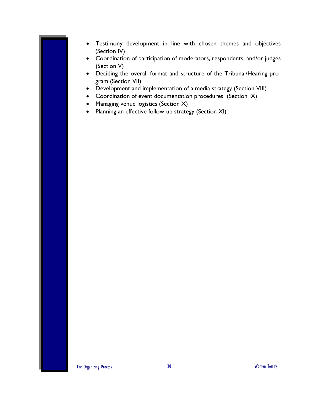- Testimony development in line with chosen themes and objectives (Section IV)
- Coordination of participation of moderators, respondents, and/or judges (Section V)
- Deciding the overall format and structure of the Tribunal/Hearing program (Section VII)
- Development and implementation of a media strategy (Section VIII)
- Coordination of event documentation procedures (Section IX)
- Managing venue logistics (Section X)
- Planning an effective follow-up strategy (Section XI)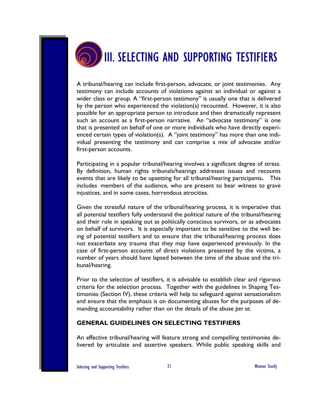

A tribunal/hearing can include first-person, advocate, or joint testimonies. Any testimony can include accounts of violations against an individual or against a wider class or group. A "first-person testimony" is usually one that is delivered by the person who experienced the violation(s) recounted. However, it is also possible for an appropriate person to introduce and then dramatically represent such an account as a first-person narrative. An "advocate testimony" is one that is presented on behalf of one or more individuals who have directly experienced certain types of violation(s). A "joint testimony" has more than one individual presenting the testimony and can comprise a mix of advocate and/or first-person accounts.

Participating in a popular tribunal/hearing involves a significant degree of stress. By definition, human rights tribunals/hearings addresses issues and recounts events that are likely to be upsetting for all tribunal/hearing participants**.** This includes members of the audience, who are present to bear witness to grave injustices, and in some cases, horrendous atrocities.

Given the stressful nature of the tribunal/hearing process, it is imperative that all potential testifiers fully understand the political nature of the tribunal/hearing and their role in speaking out as politically conscious survivors, or as advocates on behalf of survivors. It is especially important to be sensitive to the well being of potential testifiers and to ensure that the tribunal/hearing process does not exacerbate any trauma that they may have experienced previously. In the case of first-person accounts of direct violations presented by the victims, a number of years should have lapsed between the time of the abuse and the tribunal/hearing.

Prior to the selection of testifiers, it is advisable to establish clear and rigorous criteria for the selection process. Together with the guidelines in Shaping Testimonies (Section IV), these criteria will help to safeguard against sensationalism and ensure that the emphasis is on documenting abuses for the purposes of demanding accountability rather than on the details of the abuse *per se.* 

#### **GENERAL GUIDELINES ON SELECTING TESTIFIERS**

An effective tribunal/hearing will feature strong and compelling testimonies delivered by articulate and assertive speakers. While public speaking skills and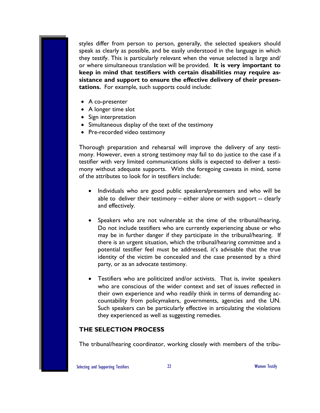styles differ from person to person, generally, the selected speakers should speak as clearly as possible, and be easily understood in the language in which they testify. This is particularly relevant when the venue selected is large and/ or where simultaneous translation will be provided. **It is very important to keep in mind that testifiers with certain disabilities may require assistance and support to ensure the effective delivery of their presentations.** For example, such supports could include:

- A co-presenter
- A longer time slot
- Sign interpretation
- Simultaneous display of the text of the testimony
- Pre-recorded video testimony

Thorough preparation and rehearsal will improve the delivery of any testimony. However, even a strong testimony may fail to do justice to the case if a testifier with very limited communications skills is expected to deliver a testimony without adequate supports. With the foregoing caveats in mind, some of the attributes to look for in testifiers include:

- Individuals who are good public speakers**/**presenters and who will be able to deliver their testimony – either alone or with support -- clearly and effectively.
- Speakers who are not vulnerable at the time of the tribunal/hearing**.**  Do not include testifiers who are currently experiencing abuse or who may be in further danger if they participate in the tribunal/hearing. If there is an urgent situation, which the tribunal/hearing committee and a potential testifier feel must be addressed, it's advisable that the true identity of the victim be concealed and the case presented by a third party, or as an advocate testimony.
- Testifiers who are politicized and/or activists. That is, invite speakers who are conscious of the wider context and set of issues reflected in their own experience and who readily think in terms of demanding accountability from policymakers, governments, agencies and the UN. Such speakers can be particularly effective in articulating the violations they experienced as well as suggesting remedies.

#### **THE SELECTION PROCESS**

The tribunal/hearing coordinator, working closely with members of the tribu-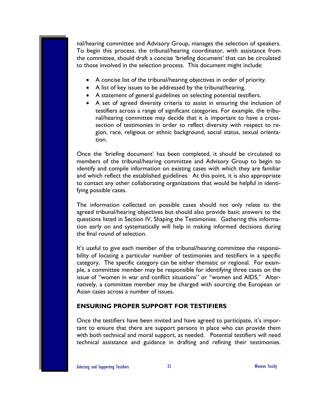nal/hearing committee and Advisory Group, manages the selection of speakers. To begin this process, the tribunal/hearing coordinator, with assistance from the committee, should draft a concise 'briefing document' that can be circulated to those involved in the selection process. This document might include:

- A concise list of the tribunal/hearing objectives in order of priority.
- A list of key issues to be addressed by the tribunal/hearing.
- A statement of general guidelines on selecting potential testifiers.
- A set of agreed diversity criteria to assist in ensuring the inclusion of testifiers across a range of significant categories. For example, the tribunal/hearing committee may decide that it is important to have a crosssection of testimonies in order to reflect diversity with respect to region, race, religious or ethnic background, social status, sexual orientation.

Once the 'briefing document' has been completed, it should be circulated to members of the tribunal/hearing committee and Advisory Group to begin to identify and compile information on existing cases with which they are familiar and which reflect the established guidelines. At this point, it is also appropriate to contact any other collaborating organizations that would be helpful in identifying possible cases.

The information collected on possible cases should not only relate to the agreed tribunal/hearing objectives but should also provide basic answers to the questions listed in Section IV, Shaping the Testimonies. Gathering this information early on and systematically will help in making informed decisions during the final round of selection.

It's useful to give each member of the tribunal/hearing committee the responsibility of locating a particular number of testimonies and testifiers in a specific category. The specific category can be either thematic or regional. For example, a committee member may be responsible for identifying three cases on the issue of "women in war and conflict situations" or "women and AIDS." Alternatively, a committee member may be charged with sourcing the European or Asian cases across a number of issues.

#### **ENSURING PROPER SUPPORT FOR TESTIFIERS**

Once the testifiers have been invited and have agreed to participate, it's important to ensure that there are support persons in place who can provide them with both technical and moral support, as needed. Potential testifiers will need technical assistance and guidance in drafting and refining their testimonies.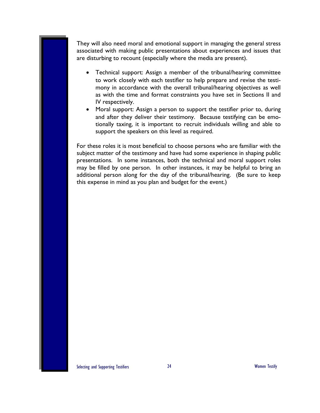They will also need moral and emotional support in managing the general stress associated with making public presentations about experiences and issues that are disturbing to recount (especially where the media are present).

- Technical support: Assign a member of the tribunal/hearing committee to work closely with each testifier to help prepare and revise the testimony in accordance with the overall tribunal/hearing objectives as well as with the time and format constraints you have set in Sections II and IV respectively.
- Moral support: Assign a person to support the testifier prior to, during and after they deliver their testimony. Because testifying can be emotionally taxing, it is important to recruit individuals willing and able to support the speakers on this level as required.

For these roles it is most beneficial to choose persons who are familiar with the subject matter of the testimony and have had some experience in shaping public presentations. In some instances, both the technical and moral support roles may be filled by one person. In other instances, it may be helpful to bring an additional person along for the day of the tribunal/hearing. (Be sure to keep this expense in mind as you plan and budget for the event.)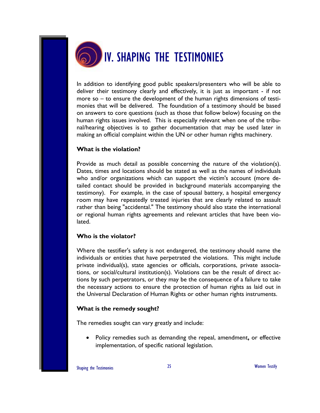

In addition to identifying good public speakers/presenters who will be able to deliver their testimony clearly and effectively, it is just as important - if not more so – to ensure the development of the human rights dimensions of testimonies that will be delivered. The foundation of a testimony should be based on answers to core questions (such as those that follow below) focusing on the human rights issues involved. This is especially relevant when one of the tribunal/hearing objectives is to gather documentation that may be used later in making an official complaint within the UN or other human rights machinery.

#### **What is the violation?**

Provide as much detail as possible concerning the nature of the violation(s). Dates, times and locations should be stated as well as the names of individuals who and/or organizations which can support the victim's account (more detailed contact should be provided in background materials accompanying the testimony). For example, in the case of spousal battery, a hospital emergency room may have repeatedly treated injuries that are clearly related to assault rather than being "accidental." The testimony should also state the international or regional human rights agreements and relevant articles that have been violated.

#### **Who is the violator?**

Where the testifier's safety is not endangered, the testimony should name the individuals or entities that have perpetrated the violations. This might include private individual(s), state agencies or officials, corporations, private associations, or social/cultural institution(s). Violations can be the result of direct actions by such perpetrators, or they may be the consequence of a failure to take the necessary actions to ensure the protection of human rights as laid out in the Universal Declaration of Human Rights or other human rights instruments.

#### **What is the remedy sought?**

The remedies sought can vary greatly and include:

• Policy remedies such as demanding the repeal, amendment**,** or effective implementation, of specific national legislation.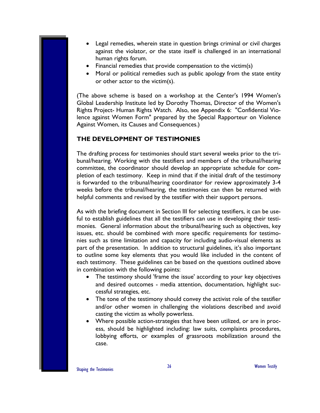- Legal remedies, wherein state in question brings criminal or civil charges against the violator, or the state itself is challenged in an international human rights forum.
- Financial remedies that provide compensation to the victim(s)
- Moral or political remedies such as public apology from the state entity or other actor to the victim(s).

(The above scheme is based on a workshop at the Center's 1994 Women's Global Leadership Institute led by Dorothy Thomas, Director of the Women's Rights Project- Human Rights Watch. Also, see Appendix 6: "Confidential Violence against Women Form" prepared by the Special Rapporteur on Violence Against Women, its Causes and Consequences.)

#### **THE DEVELOPMENT OF TESTIMONIES**

The drafting process for testimonies should start several weeks prior to the tribunal/hearing. Working with the testifiers and members of the tribunal/hearing committee, the coordinator should develop an appropriate schedule for completion of each testimony. Keep in mind that if the initial draft of the testimony is forwarded to the tribunal/hearing coordinator for review approximately 3-4 weeks before the tribunal/hearing, the testimonies can then be returned with helpful comments and revised by the testifier with their support persons.

As with the briefing document in Section III for selecting testifiers, it can be useful to establish guidelines that all the testifiers can use in developing their testimonies. General information about the tribunal/hearing such as objectives, key issues, etc. should be combined with more specific requirements for testimonies such as time limitation and capacity for including audio-visual elements as part of the presentation. In addition to structural guidelines, it's also important to outline some key elements that you would like included in the content of each testimony. These guidelines can be based on the questions outlined above in combination with the following points:

- The testimony should 'frame the issue' according to your key objectives and desired outcomes - media attention, documentation, highlight successful strategies, etc.
- The tone of the testimony should convey the activist role of the testifier and/or other women in challenging the violations described and avoid casting the victim as wholly powerless.
- Where possible action-strategies that have been utilized, or are in process, should be highlighted including: law suits, complaints procedures, lobbying efforts, or examples of grassroots mobilization around the case.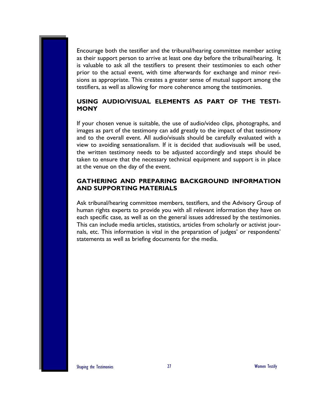Encourage both the testifier and the tribunal/hearing committee member acting as their support person to arrive at least one day before the tribunal/hearing. It is valuable to ask all the testifiers to present their testimonies to each other prior to the actual event, with time afterwards for exchange and minor revisions as appropriate. This creates a greater sense of mutual support among the testifiers, as well as allowing for more coherence among the testimonies.

#### **USING AUDIO/VISUAL ELEMENTS AS PART OF THE TESTI-MONY**

If your chosen venue is suitable, the use of audio/video clips, photographs, and images as part of the testimony can add greatly to the impact of that testimony and to the overall event. All audio/visuals should be carefully evaluated with a view to avoiding sensationalism. If it is decided that audiovisuals will be used, the written testimony needs to be adjusted accordingly and steps should be taken to ensure that the necessary technical equipment and support is in place at the venue on the day of the event.

#### **GATHERING AND PREPARING BACKGROUND INFORMATION AND SUPPORTING MATERIALS**

Ask tribunal/hearing committee members, testifiers, and the Advisory Group of human rights experts to provide you with all relevant information they have on each specific case, as well as on the general issues addressed by the testimonies. This can include media articles, statistics, articles from scholarly or activist journals, etc. This information is vital in the preparation of judges' or respondents' statements as well as briefing documents for the media.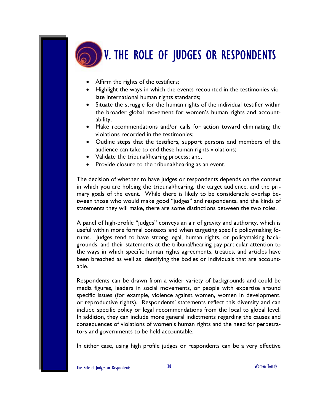# V. THE ROLE OF JUDGES OR RESPONDENTS

- Affirm the rights of the testifiers;
- Highlight the ways in which the events recounted in the testimonies violate international human rights standards;
- Situate the struggle for the human rights of the individual testifier within the broader global movement for women's human rights and accountability;
- Make recommendations and/or calls for action toward eliminating the violations recorded in the testimonies;
- Outline steps that the testifiers, support persons and members of the audience can take to end these human rights violations;
- Validate the tribunal/hearing process; and,
- Provide closure to the tribunal/hearing as an event.

The decision of whether to have judges or respondents depends on the context in which you are holding the tribunal/hearing, the target audience, and the primary goals of the event. While there is likely to be considerable overlap between those who would make good "judges" and respondents, and the kinds of statements they will make, there are some distinctions between the two roles.

A panel of high-profile "judges" conveys an air of gravity and authority, which is useful within more formal contexts and when targeting specific policymaking forums. Judges tend to have strong legal, human rights, or policymaking backgrounds, and their statements at the tribunal/hearing pay particular attention to the ways in which specific human rights agreements, treaties, and articles have been breached as well as identifying the bodies or individuals that are accountable.

Respondents can be drawn from a wider variety of backgrounds and could be media figures, leaders in social movements, or people with expertise around specific issues (for example, violence against women, women in development, or reproductive rights). Respondents' statements reflect this diversity and can include specific policy or legal recommendations from the local to global level. In addition, they can include more general indictments regarding the causes and consequences of violations of women's human rights and the need for perpetrators and governments to be held accountable.

In either case, using high profile judges or respondents can be a very effective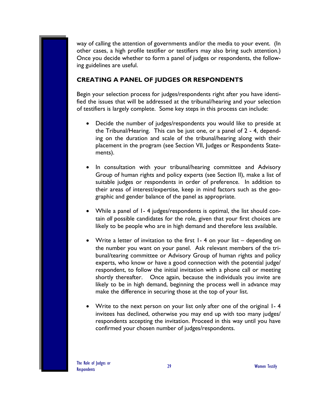way of calling the attention of governments and/or the media to your event. (In other cases, a high profile testifier or testifiers may also bring such attention.) Once you decide whether to form a panel of judges or respondents, the following guidelines are useful.

#### **CREATING A PANEL OF JUDGES OR RESPONDENTS**

Begin your selection process for judges/respondents right after you have identified the issues that will be addressed at the tribunal/hearing and your selection of testifiers is largely complete. Some key steps in this process can include:

- Decide the number of judges/respondents you would like to preside at the Tribunal/Hearing. This can be just one, or a panel of 2 - 4, depending on the duration and scale of the tribunal/hearing along with their placement in the program (see Section VII, Judges or Respondents Statements).
- In consultation with your tribunal/hearing committee and Advisory Group of human rights and policy experts (see Section II), make a list of suitable judges or respondents in order of preference. In addition to their areas of interest/expertise, keep in mind factors such as the geographic and gender balance of the panel as appropriate.
- While a panel of 1- 4 judges/respondents is optimal, the list should contain *all* possible candidates for the role, given that your first choices are likely to be people who are in high demand and therefore less available.
- Write a letter of invitation to the first 1- 4 on your list depending on the number you want on your panel. Ask relevant members of the tribunal/tearing committee or Advisory Group of human rights and policy experts, who know or have a good connection with the potential judge/ respondent, to follow the initial invitation with a phone call or meeting shortly thereafter. Once again, because the individuals you invite are likely to be in high demand, beginning the process well in advance may make the difference in securing those at the top of your list.
- Write to the next person on your list only after one of the original 1- 4 invitees has declined, otherwise you may end up with too many judges/ respondents accepting the invitation. Proceed in this way until you have confirmed your chosen number of judges/respondents.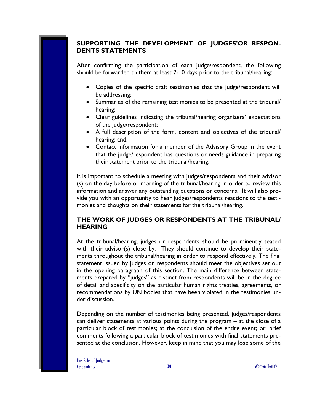#### **SUPPORTING THE DEVELOPMENT OF JUDGES'OR RESPON-DENTS STATEMENTS**

After confirming the participation of each judge/respondent, the following should be forwarded to them at least 7-10 days prior to the tribunal/hearing:

- Copies of the specific draft testimonies that the judge/respondent will be addressing;
- Summaries of the remaining testimonies to be presented at the tribunal/ hearing;
- Clear guidelines indicating the tribunal/hearing organizers' expectations of the judge/respondent;
- A full description of the form, content and objectives of the tribunal/ hearing; and,
- Contact information for a member of the Advisory Group in the event that the judge/respondent has questions or needs guidance in preparing their statement prior to the tribunal/hearing.

It is important to schedule a meeting with judges/respondents and their advisor (s) on the day before or morning of the tribunal/hearing in order to review this information and answer any outstanding questions or concerns. It will also provide you with an opportunity to hear judges/respondents reactions to the testimonies and thoughts on their statements for the tribunal/hearing.

#### **THE WORK OF JUDGES OR RESPONDENTS AT THE TRIBUNAL/ HEARING**

At the tribunal/hearing, judges or respondents should be prominently seated with their advisor(s) close by. They should continue to develop their statements throughout the tribunal/hearing in order to respond effectively. The final statement issued by judges or respondents should meet the objectives set out in the opening paragraph of this section. The main difference between statements prepared by "judges" as distinct from respondents will be in the degree of detail and specificity on the particular human rights treaties, agreements, or recommendations by UN bodies that have been violated in the testimonies under discussion.

Depending on the number of testimonies being presented, judges/respondents can deliver statements at various points during the program – at the close of a particular block of testimonies; at the conclusion of the entire event; or, brief comments following a particular block of testimonies with final statements presented at the conclusion. However, keep in mind that you may lose some of the

The Role of Judges or **Respondents**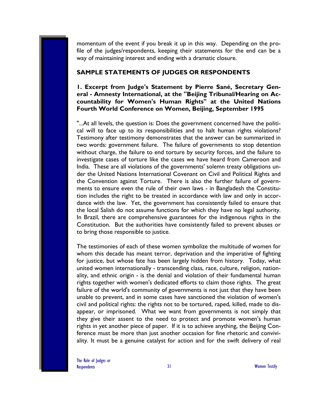momentum of the event if you break it up in this way. Depending on the profile of the judges/respondents, keeping their statements for the end can be a way of maintaining interest and ending with a dramatic closure.

#### **SAMPLE STATEMENTS OF JUDGES OR RESPONDENTS**

**1. Excerpt from Judge's Statement by Pierre Sané, Secretary General - Amnesty International, at the "Beijing Tribunal/Hearing on Accountability for Women's Human Rights" at the United Nations Fourth World Conference on Women, Beijing, September 1995** 

"...At all levels, the question is: Does the government concerned have the political will to face up to its responsibilities and to halt human rights violations? Testimony after testimony demonstrates that the answer can be summarized in two words: government failure. The failure of governments to stop detention without charge, the failure to end torture by security forces, and the failure to investigate cases of torture like the cases we have heard from Cameroon and India. These are all violations of the governments' solemn treaty obligations under the United Nations International Covenant on Civil and Political Rights and the Convention against Torture. There is also the further failure of governments to ensure even the rule of their own laws - in Bangladesh the Constitution includes the right to be treated in accordance with law and only in accordance with the law. Yet, the government has consistently failed to ensure that the local Salish do not assume functions for which they have no legal authority. In Brazil, there are comprehensive guarantees for the indigenous rights in the Constitution. But the authorities have consistently failed to prevent abuses or to bring those responsible to justice.

The testimonies of each of these women symbolize the multitude of women for whom this decade has meant terror, deprivation and the imperative of fighting for justice, but whose fate has been largely hidden from history. Today, what united women internationally - transcending class, race, culture, religion, nationality, and ethnic origin - is the denial and violation of their fundamental human rights together with women's dedicated efforts to claim those rights. The great failure of the world's community of governments is not just that they have been unable to prevent, and in some cases have sanctioned the violation of women's civil and political rights: the rights not to be tortured, raped, killed, made to disappear, or imprisoned. What we want from governments is not simply that they give their assent to the need to protect and promote women's human rights in yet another piece of paper. If it is to achieve anything, the Beijing Conference must be more than just another occasion for fine rhetoric and conviviality. It must be a genuine catalyst for action and for the swift delivery of real

The Role of Judges or **Respondents**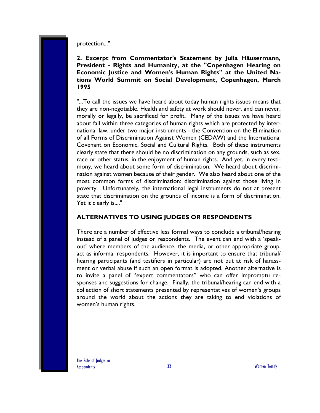protection..."

**2. Excerpt from Commentator's Statement by Julia Häusermann, President - Rights and Humanity, at the "Copenhagen Hearing on Economic Justice and Women's Human Rights" at the United Nations World Summit on Social Development, Copenhagen, March 1995** 

"...To call the issues we have heard about today human rights issues means that they are non-negotiable. Health and safety at work should never, and can never, morally or legally, be sacrificed for profit. Many of the issues we have heard about fall within three categories of human rights which are protected by international law, under two major instruments - the Convention on the Elimination of all Forms of Discrimination Against Women (CEDAW) and the International Covenant on Economic, Social and Cultural Rights. Both of these instruments clearly state that there should be no discrimination on any grounds, such as sex, race or other status, in the enjoyment of human rights. And yet, in every testimony, we heard about some form of discrimination. We heard about discrimination against women because of their gender. We also heard about one of the most common forms of discrimination: discrimination against those living in poverty. Unfortunately, the international legal instruments do not at present state that discrimination on the grounds of income is a form of discrimination. Yet it clearly is...."

#### **ALTERNATIVES TO USING JUDGES OR RESPONDENTS**

There are a number of effective less formal ways to conclude a tribunal/hearing instead of a panel of judges or respondents. The event can end with a 'speakout' where members of the audience, the media, or other appropriate group, act as informal respondents. However, it is important to ensure that tribunal/ hearing participants (and testifiers in particular) are not put at risk of harassment or verbal abuse if such an open format is adopted. Another alternative is to invite a panel of "expert commentators" who can offer impromptu responses and suggestions for change. Finally, the tribunal/hearing can end with a collection of short statements presented by representatives of women's groups around the world about the actions they are taking to end violations of women's human rights.

The Role of Judges or **Respondents**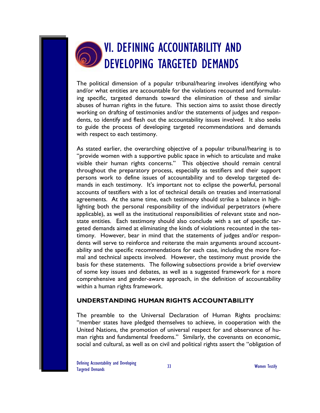## VI. DEFINING ACCOUNTABILITY AND DEVELOPING TARGETED DEMANDS

The political dimension of a popular tribunal/hearing involves identifying who and/or what entities are accountable for the violations recounted and formulating specific, targeted demands toward the elimination of these and similar abuses of human rights in the future. This section aims to assist those directly working on drafting of testimonies and/or the statements of judges and respondents, to identify and flesh out the accountability issues involved. It also seeks to guide the process of developing targeted recommendations and demands with respect to each testimony.

As stated earlier, the overarching objective of a popular tribunal/hearing is to "provide women with a supportive public space in which to articulate and make visible their human rights concerns." This objective should remain central throughout the preparatory process, especially as testifiers and their support persons work to define issues of accountability and to develop targeted demands in each testimony. It's important not to eclipse the powerful, personal accounts of testifiers with a lot of technical details on treaties and international agreements. At the same time, each testimony should strike a balance in highlighting both the personal responsibility of the individual perpetrators (where applicable), as well as the institutional responsibilities of relevant state and nonstate entities. Each testimony should also conclude with a set of specific targeted demands aimed at eliminating the kinds of violations recounted in the testimony. However, bear in mind that the statements of judges and/or respondents will serve to reinforce and reiterate the main arguments around accountability and the specific recommendations for each case, including the more formal and technical aspects involved. However, the testimony must provide the basis for these statements. The following subsections provide a brief overview of some key issues and debates, as well as a suggested framework for a more comprehensive and gender-aware approach, in the definition of accountability within a human rights framework.

#### **UNDERSTANDING HUMAN RIGHTS ACCOUNTABILITY**

The preamble to the Universal Declaration of Human Rights proclaims: "member states have pledged themselves to achieve, in cooperation with the United Nations, the promotion of universal respect for and observance of human rights and fundamental freedoms." Similarly, the covenants on economic, social and cultural, as well as on civil and political rights assert the "obligation of

Defining Accountability and Developing Targeted Demands

33 Women Testify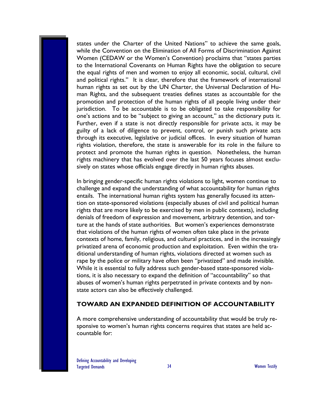states under the Charter of the United Nations" to achieve the same goals, while the Convention on the Elimination of All Forms of Discrimination Against Women (CEDAW or the Women's Convention) proclaims that "states parties to the International Covenants on Human Rights have the obligation to secure the equal rights of men and women to enjoy all economic, social, cultural, civil and political rights." It is clear, therefore that the framework of international human rights as set out by the UN Charter, the Universal Declaration of Human Rights, and the subsequent treaties defines states as accountable for the promotion and protection of the human rights of all people living under their jurisdiction. To be accountable is to be obligated to take responsibility for one's actions and to be "subject to giving an account," as the dictionary puts it. Further, even if a state is not directly responsible for private acts, it may be guilty of a lack of diligence to prevent, control, or punish such private acts through its executive, legislative or judicial offices. In every situation of human rights violation, therefore, the state is answerable for its role in the failure to protect and promote the human rights in question. Nonetheless, the human rights machinery that has evolved over the last 50 years focuses almost exclusively on states whose officials engage directly in human rights abuses.

In bringing gender-specific human rights violations to light, women continue to challenge and expand the understanding of what accountability for human rights entails. The international human rights system has generally focused its attention on state-sponsored violations (especially abuses of civil and political human rights that are more likely to be exercised by men in public contexts), including denials of freedom of expression and movement, arbitrary detention, and torture at the hands of state authorities. But women's experiences demonstrate that violations of the human rights of women often take place in the private contexts of home, family, religious, and cultural practices, and in the increasingly privatized arena of economic production and exploitation. Even within the traditional understanding of human rights, violations directed at women such as rape by the police or military have often been "privatized" and made invisible. While it is essential to fully address such gender-based state-sponsored violations, it is also necessary to expand the definition of "accountability" so that abuses of women's human rights perpetrated in private contexts and by nonstate actors can also be effectively challenged.

#### **TOWARD AN EXPANDED DEFINITION OF ACCOUNTABILITY**

A more comprehensive understanding of accountability that would be truly responsive to women's human rights concerns requires that states are held accountable for:

Defining Accountability and Developing Targeted Demands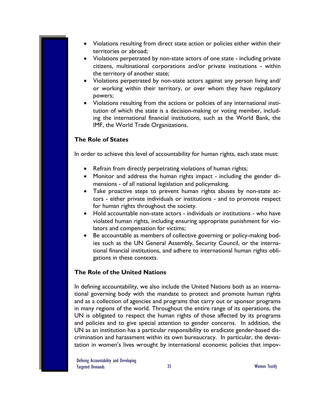- Violations resulting from direct state action or policies either within their territories or abroad;
- Violations perpetrated by non-state actors of one state including private citizens, multinational corporations and/or private institutions - within the territory of another state;
- Violations perpetrated by non-state actors against any person living and/ or working within their territory, or over whom they have regulatory powers;
- Violations resulting from the actions or policies of any international institution of which the state is a decision-making or voting member, including the international financial institutions, such as the World Bank, the IMF, the World Trade Organizations.

#### **The Role of States**

In order to achieve this level of accountability for human rights, each state must:

- Refrain from directly perpetrating violations of human rights;
- Monitor and address the human rights impact including the gender dimensions - of all national legislation and policymaking.
- Take proactive steps to prevent human rights abuses by non-state actors - either private individuals or institutions - and to promote respect for human rights throughout the society.
- Hold accountable non-state actors individuals or institutions who have violated human rights, including ensuring appropriate punishment for violators and compensation for victims;
- Be accountable as members of collective governing or policy-making bodies such as the UN General Assembly, Security Council, or the international financial institutions, and adhere to international human rights obligations in these contexts.

#### **The Role of the United Nations**

In defining accountability, we also include the United Nations both as an international governing body with the mandate to protect and promote human rights and as a collection of agencies and programs that carry out or sponsor programs in many regions of the world. Throughout the entire range of its operations, the UN is obligated to respect the human rights of those affected by its programs and policies and to give special attention to gender concerns. In addition, the UN as an institution has a particular responsibility to eradicate gender-based discrimination and harassment within its own bureaucracy. In particular, the devastation in women's lives wrought by international economic policies that impov-

Defining Accountability and Developing Targeted Demands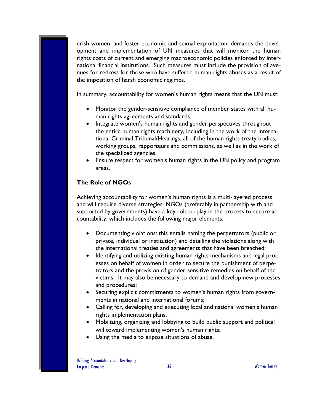erish women, and foster economic and sexual exploitation, demands the development and implementation of UN measures that will monitor the human rights costs of current and emerging macroeconomic policies enforced by international financial institutions. Such measures must include the provision of avenues for redress for those who have suffered human rights abuses as a result of the imposition of harsh economic regimes.

In summary, accountability for women's human rights means that the UN must:

- Monitor the gender-sensitive compliance of member states with all human rights agreements and standards.
- Integrate women's human rights and gender perspectives throughout the entire human rights machinery, including in the work of the International Criminal Tribunal/Hearings, all of the human rights treaty bodies, working groups, rapporteurs and commissions, as well as in the work of the specialized agencies.
- Ensure respect for women's human rights in the UN policy and program areas.

#### **The Role of NGOs**

Achieving accountability for women's human rights is a multi-layered process and will require diverse strategies. NGOs (preferably in partnership with and supported by governments) have a key role to play in the process to secure accountability, which includes the following major elements:

- Documenting violations: this entails naming the perpetrators (public or private, individual or institution) and detailing the violations along with the international treaties and agreements that have been breached;
- Identifying and utilizing existing human rights mechanisms and legal processes on behalf of women in order to secure the punishment of perpetrators and the provision of gender-sensitive remedies on behalf of the victims. It may also be necessary to demand and develop new processes and procedures;
- Securing explicit commitments to women's human rights from governments in national and international forums;
- Calling for, developing and executing local and national women's human rights implementation plans;
- Mobilizing, organizing and lobbying to build public support and political will toward implementing women's human rights;
- Using the media to expose situations of abuse.

Defining Accountability and Developing Targeted Demands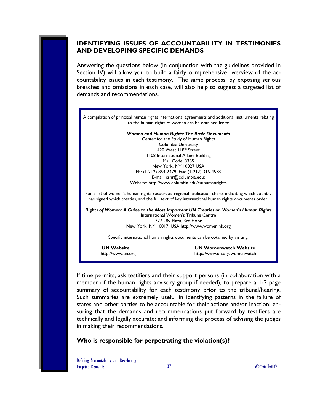## **IDENTIFYING ISSUES OF ACCOUNTABILITY IN TESTIMONIES AND DEVELOPING SPECIFIC DEMANDS**

Answering the questions below (in conjunction with the guidelines provided in Section IV) will allow you to build a fairly comprehensive overview of the accountability issues in each testimony. The same process, by exposing serious breaches and omissions in each case, will also help to suggest a targeted list of demands and recommendations.

A compilation of principal human rights international agreements and additional instruments relating to the human rights of women can be obtained from*:* 

> *Women and Human Rights: The Basic Documents*  Center for the Study of Human Rights Columbia University 420 West 118<sup>th</sup> Street 1108 International Affairs Building Mail Code: 3365 New York, NY 10027 USA Ph: (1-212) 854-2479; Fax: (1-212) 316-4578 E-mail: cshr@columbia.edu; Website: http://www.columbia.edu/cu/humanrights

For a list of women's human rights resources, regional ratification charts indicating which country has signed which treaties, and the full text of key international human rights documents order:

*Rights of Women: A Guide to the Most Important UN Treaties on Women's Human Rights*  International Women's Tribune Centre 777 UN Plaza, 3rd Floor New York, NY 10017, USA http://www.womenink.org

Specific international human rights documents can be obtained by visiting:

**UN Website UN Womenwatch Website** http://www.un.org http://www.un.org/womenwatch

If time permits, ask testifiers and their support persons (in collaboration with a member of the human rights advisory group if needed), to prepare a 1-2 page summary of accountability for each testimony prior to the tribunal/hearing. Such summaries are extremely useful in identifying patterns in the failure of states and other parties to be accountable for their actions and/or inaction; ensuring that the demands and recommendations put forward by testifiers are technically and legally accurate; and informing the process of advising the judges in making their recommendations.

#### **Who is responsible for perpetrating the violation(s)?**

Defining Accountability and Developing Targeted Demands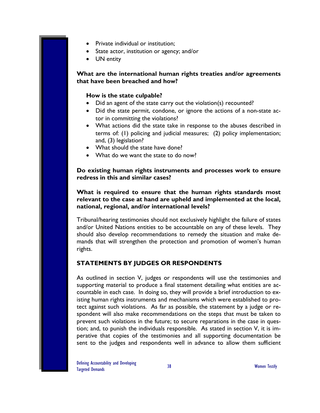- Private individual or institution;
- State actor, institution or agency; and/or
- UN entity

## **What are the international human rights treaties and/or agreements that have been breached and how?**

## **How is the state culpable?**

- Did an agent of the state carry out the violation(s) recounted?
- Did the state permit, condone, or ignore the actions of a non-state actor in committing the violations?
- What actions did the state take in response to the abuses described in terms of: (1) policing and judicial measures; (2) policy implementation; and, (3) legislation?
- What should the state have done?
- What do we want the state to do now?

**Do existing human rights instruments and processes work to ensure redress in this and similar cases?** 

**What is required to ensure that the human rights standards most relevant to the case at hand are upheld and implemented at the local, national, regional, and/or international levels?**

Tribunal/hearing testimonies should not exclusively highlight the failure of states and/or United Nations entities to be accountable on any of these levels. They should also develop recommendations to remedy the situation and make demands that will strengthen the protection and promotion of women's human rights.

## **STATEMENTS BY JUDGES OR RESPONDENTS**

As outlined in section V, judges or respondents will use the testimonies and supporting material to produce a final statement detailing what entities are accountable in each case. In doing so, they will provide a brief introduction to existing human rights instruments and mechanisms which were established to protect against such violations. As far as possible, the statement by a judge or respondent will also make recommendations on the steps that must be taken to prevent such violations in the future; to secure reparations in the case in question; and, to punish the individuals responsible. As stated in section V, it is imperative that copies of the testimonies and all supporting documentation be sent to the judges and respondents well in advance to allow them sufficient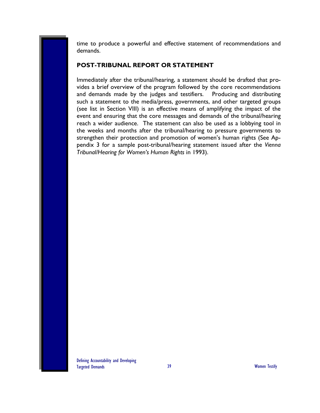time to produce a powerful and effective statement of recommendations and demands.

## **POST-TRIBUNAL REPORT OR STATEMENT**

Immediately after the tribunal/hearing, a statement should be drafted that provides a brief overview of the program followed by the core recommendations and demands made by the judges and testifiers. Producing and distributing such a statement to the media/press, governments, and other targeted groups (see list in Section VIII) is an effective means of amplifying the impact of the event and ensuring that the core messages and demands of the tribunal/hearing reach a wider audience. The statement can also be used as a lobbying tool in the weeks and months after the tribunal/hearing to pressure governments to strengthen their protection and promotion of women's human rights (See Appendix 3 for a sample post-tribunal/hearing statement issued after the *Vienna Tribunal/Hearing for Women's Human Rights* in 1993).

Defining Accountability and Developing Targeted Demands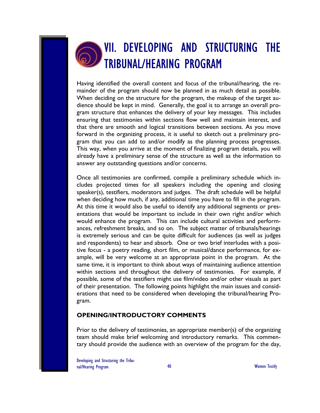# VII. DEVELOPING AND STRUCTURING THE TRIBUNAL/HEARING PROGRAM

Having identified the overall content and focus of the tribunal/hearing, the remainder of the program should now be planned in as much detail as possible. When deciding on the structure for the program, the makeup of the target audience should be kept in mind. Generally, the goal is to arrange an overall program structure that enhances the delivery of your key messages. This includes ensuring that testimonies within sections flow well and maintain interest, and that there are smooth and logical transitions between sections. As you move forward in the organizing process, it is useful to sketch out a preliminary program that you can add to and/or modify as the planning process progresses. This way, when you arrive at the moment of finalizing program details, you will already have a preliminary sense of the structure as well as the information to answer any outstanding questions and/or concerns.

Once all testimonies are confirmed, compile a preliminary schedule which includes projected times for all speakers including the opening and closing speaker(s), testifiers, moderators and judges. The draft schedule will be helpful when deciding how much, if any, additional time you have to fill in the program. At this time it would also be useful to identify any additional segments or presentations that would be important to include in their own right and/or which would enhance the program. This can include cultural activities and performances, refreshment breaks, and so on. The subject matter of tribunals/hearings is extremely serious and can be quite difficult for audiences (as well as judges and respondents) to hear and absorb. One or two brief interludes with a positive focus - a poetry reading, short film, or musical/dance performance, for example, will be very welcome at an appropriate point in the program. At the same time, it is important to think about ways of maintaining audience attention within sections and throughout the delivery of testimonies. For example, if possible, some of the testifiers might use film/video and/or other visuals as part of their presentation. The following points highlight the main issues and considerations that need to be considered when developing the tribunal/hearing Program.

## **OPENING/INTRODUCTORY COMMENTS**

Prior to the delivery of testimonies, an appropriate member(s) of the organizing team should make brief welcoming and introductory remarks. This commentary should provide the audience with an overview of the program for the day,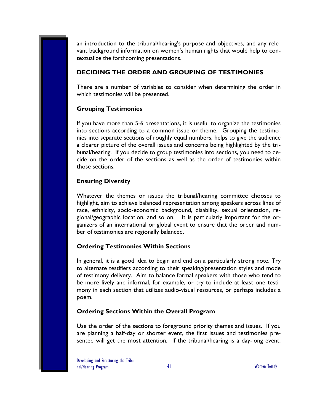an introduction to the tribunal/hearing's purpose and objectives, and any relevant background information on women's human rights that would help to contextualize the forthcoming presentations.

## **DECIDING THE ORDER AND GROUPING OF TESTIMONIES**

There are a number of variables to consider when determining the order in which testimonies will be presented.

## **Grouping Testimonies**

If you have more than 5-6 presentations, it is useful to organize the testimonies into sections according to a common issue or theme. Grouping the testimonies into separate sections of roughly equal numbers, helps to give the audience a clearer picture of the overall issues and concerns being highlighted by the tribunal/hearing. If you decide to group testimonies into sections, you need to decide on the order of the sections as well as the order of testimonies within those sections.

## **Ensuring Diversity**

Whatever the themes or issues the tribunal/hearing committee chooses to highlight, aim to achieve balanced representation among speakers across lines of race, ethnicity, socio-economic background, disability, sexual orientation, regional/geographic location, and so on. It is particularly important for the organizers of an international or global event to ensure that the order and number of testimonies are regionally balanced.

## **Ordering Testimonies Within Sections**

In general, it is a good idea to begin and end on a particularly strong note. Try to alternate testifiers according to their speaking/presentation styles and mode of testimony delivery. Aim to balance formal speakers with those who tend to be more lively and informal, for example, or try to include at least one testimony in each section that utilizes audio-visual resources, or perhaps includes a poem.

## **Ordering Sections Within the Overall Program**

Use the order of the sections to foreground priority themes and issues. If you are planning a half-day or shorter event, the first issues and testimonies presented will get the most attention. If the tribunal/hearing is a day-long event,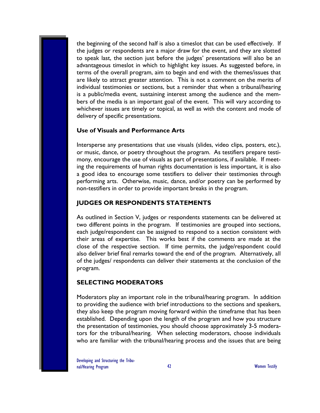the beginning of the second half is also a timeslot that can be used effectively. If the judges or respondents are a major draw for the event, and they are slotted to speak last, the section just before the judges' presentations will also be an advantageous timeslot in which to highlight key issues. As suggested before, in terms of the overall program, aim to begin and end with the themes/issues that are likely to attract greater attention. This is not a comment on the merits of individual testimonies or sections, but a reminder that when a tribunal/hearing is a public/media event, sustaining interest among the audience and the members of the media is an important goal of the event. This will vary according to whichever issues are timely or topical, as well as with the content and mode of delivery of specific presentations.

## **Use of Visuals and Performance Arts**

Intersperse any presentations that use visuals (slides, video clips, posters, etc.), or music, dance, or poetry throughout the program. As testifiers prepare testimony, encourage the use of visuals as part of presentations, if available. If meeting the requirements of human rights documentation is less important, it is also a good idea to encourage some testifiers to deliver their testimonies through performing arts. Otherwise, music, dance, and/or poetry can be performed by non-testifiers in order to provide important breaks in the program.

#### **JUDGES OR RESPONDENTS STATEMENTS**

As outlined in Section V, judges or respondents statements can be delivered at two different points in the program. If testimonies are grouped into sections, each judge/respondent can be assigned to respond to a section consistent with their areas of expertise. This works best if the comments are made at the close of the respective section. If time permits, the judge/respondent could also deliver brief final remarks toward the end of the program. Alternatively, all of the judges/ respondents can deliver their statements at the conclusion of the program.

#### **SELECTING MODERATORS**

Moderators play an important role in the tribunal/hearing program. In addition to providing the audience with brief introductions to the sections and speakers, they also keep the program moving forward within the timeframe that has been established. Depending upon the length of the program and how you structure the presentation of testimonies, you should choose approximately 3-5 moderators for the tribunal/hearing. When selecting moderators, choose individuals who are familiar with the tribunal/hearing process and the issues that are being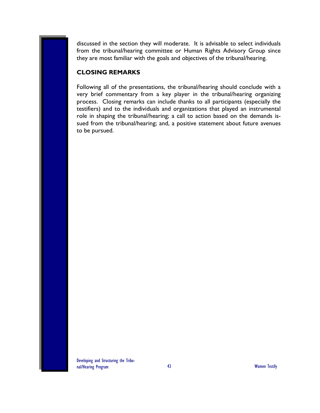discussed in the section they will moderate. It is advisable to select individuals from the tribunal/hearing committee or Human Rights Advisory Group since they are most familiar with the goals and objectives of the tribunal/hearing.

## **CLOSING REMARKS**

Following all of the presentations, the tribunal/hearing should conclude with a very brief commentary from a key player in the tribunal/hearing organizing process. Closing remarks can include thanks to all participants (especially the testifiers) and to the individuals and organizations that played an instrumental role in shaping the tribunal/hearing; a call to action based on the demands issued from the tribunal/hearing; and, a positive statement about future avenues to be pursued.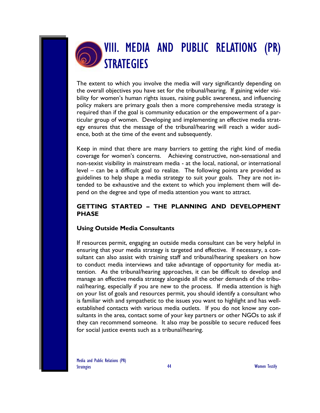

The extent to which you involve the media will vary significantly depending on the overall objectives you have set for the tribunal/hearing. If gaining wider visibility for women's human rights issues, raising public awareness, and influencing policy makers are primary goals then a more comprehensive media strategy is required than if the goal is community education or the empowerment of a particular group of women. Developing and implementing an effective media strategy ensures that the message of the tribunal/hearing will reach a wider audience, both at the time of the event and subsequently.

Keep in mind that there are many barriers to getting the right kind of media coverage for women's concerns. Achieving constructive, non-sensational and non-sexist visibility in mainstream media - at the local, national, or international level – can be a difficult goal to realize. The following points are provided as guidelines to help shape a media strategy to suit your goals. They are not intended to be exhaustive and the extent to which you implement them will depend on the degree and type of media attention you want to attract.

## **GETTING STARTED – THE PLANNING AND DEVELOPMENT PHASE**

## **Using Outside Media Consultants**

If resources permit, engaging an outside media consultant can be very helpful in ensuring that your media strategy is targeted and effective. If necessary, a consultant can also assist with training staff and tribunal/hearing speakers on how to conduct media interviews and take advantage of opportunity for media attention. As the tribunal/hearing approaches, it can be difficult to develop and manage an effective media strategy alongside all the other demands of the tribunal/hearing, especially if you are new to the process. If media attention is high on your list of goals and resources permit, you should identify a consultant who is familiar with and sympathetic to the issues you want to highlight and has wellestablished contacts with various media outlets. If you do not know any consultants in the area, contact some of your key partners or other NGOs to ask if they can recommend someone. It also may be possible to secure reduced fees for social justice events such as a tribunal/hearing.

Media and Public Relations (PR) **Strategies**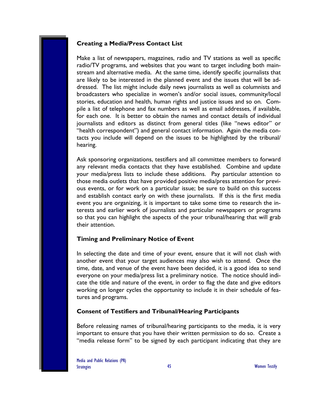## **Creating a Media/Press Contact List**

Make a list of newspapers, magazines, radio and TV stations as well as specific radio/TV programs, and websites that you want to target including both mainstream and alternative media. At the same time, identify specific journalists that are likely to be interested in the planned event and the issues that will be addressed. The list might include daily news journalists as well as columnists and broadcasters who specialize in women's and/or social issues, community/local stories, education and health, human rights and justice issues and so on. Compile a list of telephone and fax numbers as well as email addresses, if available, for each one. It is better to obtain the names and contact details of individual journalists and editors as distinct from general titles (like "news editor" or "health correspondent") and general contact information. Again the media contacts you include will depend on the issues to be highlighted by the tribunal/ hearing.

Ask sponsoring organizations, testifiers and all committee members to forward any relevant media contacts that they have established. Combine and update your media/press lists to include these additions. Pay particular attention to those media outlets that have provided positive media/press attention for previous events, or for work on a particular issue; be sure to build on this success and establish contact early on with these journalists. If this is the first media event you are organizing, it is important to take some time to research the interests and earlier work of journalists and particular newspapers or programs so that you can highlight the aspects of the your tribunal/hearing that will grab their attention.

## **Timing and Preliminary Notice of Event**

In selecting the date and time of your event, ensure that it will not clash with another event that your target audiences may also wish to attend. Once the time, date, and venue of the event have been decided, it is a good idea to send everyone on your media/press list a preliminary notice. The notice should indicate the title and nature of the event, in order to flag the date and give editors working on longer cycles the opportunity to include it in their schedule of features and programs.

## **Consent of Testifiers and Tribunal/Hearing Participants**

Before releasing names of tribunal/hearing participants to the media, it is very important to ensure that you have their written permission to do so. Create a "media release form" to be signed by each participant indicating that they are

Media and Public Relations (PR) **Strategies**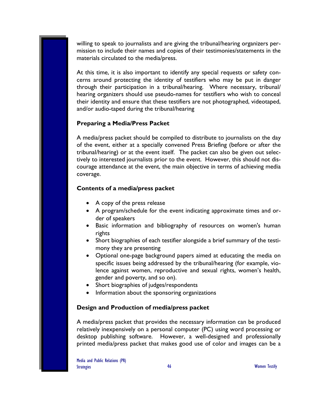willing to speak to journalists and are giving the tribunal/hearing organizers permission to include their names and copies of their testimonies/statements in the materials circulated to the media/press.

At this time, it is also important to identify any special requests or safety concerns around protecting the identity of testifiers who may be put in danger through their participation in a tribunal/hearing. Where necessary, tribunal/ hearing organizers should use pseudo-names for testifiers who wish to conceal their identity and ensure that these testifiers are not photographed, videotaped, and/or audio-taped during the tribunal/hearing

## **Preparing a Media/Press Packet**

A media/press packet should be compiled to distribute to journalists on the day of the event, either at a specially convened Press Briefing (before or after the tribunal/hearing) or at the event itself. The packet can also be given out selectively to interested journalists prior to the event. However, this should not discourage attendance at the event, the main objective in terms of achieving media coverage.

## **Contents of a media/press packet**

- A copy of the press release
- A program/schedule for the event indicating approximate times and order of speakers
- Basic information and bibliography of resources on women's human rights
- Short biographies of each testifier alongside a brief summary of the testimony they are presenting
- Optional one-page background papers aimed at educating the media on specific issues being addressed by the tribunal/hearing (for example, violence against women, reproductive and sexual rights, women's health, gender and poverty, and so on).
- Short biographies of judges/respondents
- Information about the sponsoring organizations

#### **Design and Production of media/press packet**

A media/press packet that provides the necessary information can be produced relatively inexpensively on a personal computer (PC) using word processing or desktop publishing software. However, a well-designed and professionally printed media/press packet that makes good use of color and images can be a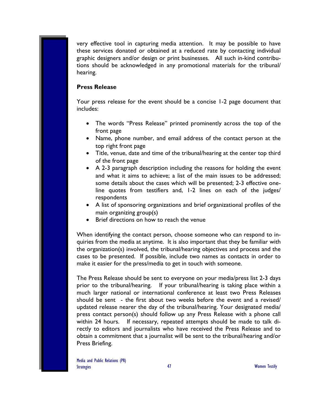very effective tool in capturing media attention. It may be possible to have these services donated or obtained at a reduced rate by contacting individual graphic designers and/or design or print businesses. All such in-kind contributions should be acknowledged in any promotional materials for the tribunal/ hearing.

## **Press Release**

Your press release for the event should be a concise 1-2 page document that includes:

- The words "Press Release" printed prominently across the top of the front page
- Name, phone number, and email address of the contact person at the top right front page
- Title, venue, date and time of the tribunal/hearing at the center top third of the front page
- A 2-3 paragraph description including the reasons for holding the event and what it aims to achieve; a list of the main issues to be addressed; some details about the cases which will be presented; 2-3 effective oneline quotes from testifiers and, 1-2 lines on each of the judges/ respondents
- A list of sponsoring organizations and brief organizational profiles of the main organizing group(s)
- Brief directions on how to reach the venue

When identifying the contact person, choose someone who can respond to inquiries from the media at anytime. It is also important that they be familiar with the organization(s) involved, the tribunal/hearing objectives and process and the cases to be presented. If possible, include two names as contacts in order to make it easier for the press/media to get in touch with someone.

The Press Release should be sent to everyone on your media/press list 2-3 days prior to the tribunal/hearing. If your tribunal/hearing is taking place within a much larger national or international conference at least two Press Releases should be sent - the first about two weeks before the event and a revised/ updated release nearer the day of the tribunal/hearing. Your designated media/ press contact person(s) should follow up any Press Release with a phone call within 24 hours. If necessary, repeated attempts should be made to talk directly to editors and journalists who have received the Press Release and to obtain a commitment that a journalist will be sent to the tribunal/hearing and/or Press Briefing.

Media and Public Relations (PR) **Strategies**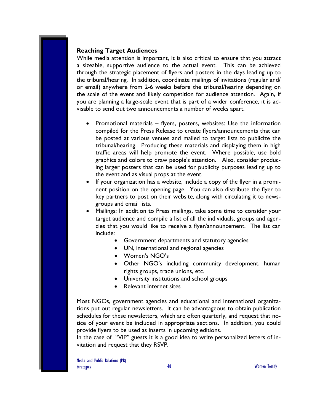## **Reaching Target Audiences**

While media attention is important, it is also critical to ensure that you attract a sizeable, supportive audience to the actual event. This can be achieved through the strategic placement of flyers and posters in the days leading up to the tribunal/hearing. In addition, coordinate mailings of invitations (regular and/ or email) anywhere from 2-6 weeks before the tribunal/hearing depending on the scale of the event and likely competition for audience attention. Again, if you are planning a large-scale event that is part of a wider conference, it is advisable to send out two announcements a number of weeks apart.

- Promotional materials flyers, posters, websites: Use the information compiled for the Press Release to create flyers/announcements that can be posted at various venues and mailed to target lists to publicize the tribunal/hearing. Producing these materials and displaying them in high traffic areas will help promote the event. Where possible, use bold graphics and colors to draw people's attention. Also, consider producing larger posters that can be used for publicity purposes leading up to the event and as visual props at the event.
- If your organization has a website, include a copy of the flyer in a prominent position on the opening page. You can also distribute the flyer to key partners to post on their website, along with circulating it to newsgroups and email lists.
- Mailings: In addition to Press mailings, take some time to consider your target audience and compile a list of all the individuals, groups and agencies that you would like to receive a flyer/announcement. The list can include:
	- Government departments and statutory agencies
	- UN, international and regional agencies
	- Women's NGO's
	- Other NGO's including community development, human rights groups, trade unions, etc.
	- University institutions and school groups
	- Relevant internet sites

Most NGOs, government agencies and educational and international organizations put out regular newsletters. It can be advantageous to obtain publication schedules for these newsletters, which are often quarterly, and request that notice of your event be included in appropriate sections. In addition, you could provide flyers to be used as inserts in upcoming editions.

In the case of "VIP" guests it is a good idea to write personalized letters of invitation and request that they RSVP.

Media and Public Relations (PR) **Strategies**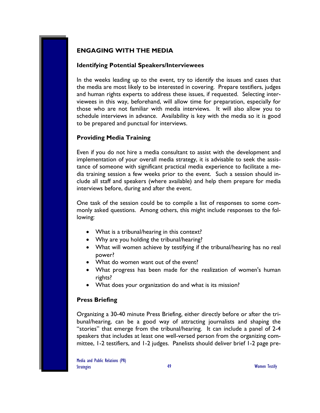## **ENGAGING WITH THE MEDIA**

## **Identifying Potential Speakers/Interviewees**

In the weeks leading up to the event, try to identify the issues and cases that the media are most likely to be interested in covering. Prepare testifiers, judges and human rights experts to address these issues, if requested. Selecting interviewees in this way, beforehand, will allow time for preparation, especially for those who are not familiar with media interviews. It will also allow you to schedule interviews in advance. Availability is key with the media so it is good to be prepared and punctual for interviews.

## **Providing Media Training**

Even if you do not hire a media consultant to assist with the development and implementation of your overall media strategy, it is advisable to seek the assistance of someone with significant practical media experience to facilitate a media training session a few weeks prior to the event. Such a session should include all staff and speakers (where available) and help them prepare for media interviews before, during and after the event.

One task of the session could be to compile a list of responses to some commonly asked questions. Among others, this might include responses to the following:

- What is a tribunal/hearing in this context?
- Why are you holding the tribunal/hearing?
- What will women achieve by testifying if the tribunal/hearing has no real power?
- What do women want out of the event?
- What progress has been made for the realization of women's human rights?
- What does your organization do and what is its mission?

## **Press Briefing**

Organizing a 30-40 minute Press Briefing, either directly before or after the tribunal/hearing, can be a good way of attracting journalists and shaping the "stories" that emerge from the tribunal/hearing. It can include a panel of 2-4 speakers that includes at least one well-versed person from the organizing committee, 1-2 testifiers, and 1-2 judges. Panelists should deliver brief 1-2 page pre-

Media and Public Relations (PR) **Strategies** 

49 Women Testify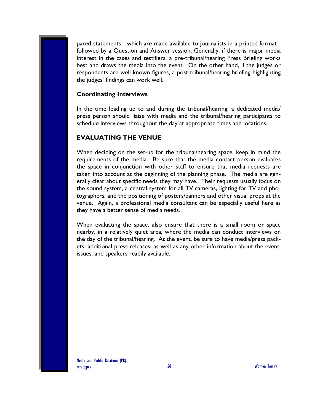pared statements - which are made available to journalists in a printed format followed by a Question and Answer session. Generally, if there is major media interest in the cases and testifiers, a pre-tribunal/hearing Press Briefing works best and draws the media into the event. On the other hand, if the judges or respondents are well-known figures, a post-tribunal/hearing briefing highlighting the judges' findings can work well.

#### **Coordinating Interviews**

In the time leading up to and during the tribunal/hearing, a dedicated media/ press person should liaise with media and the tribunal/hearing participants to schedule interviews throughout the day at appropriate times and locations.

## **EVALUATING THE VENUE**

When deciding on the set-up for the tribunal/hearing space, keep in mind the requirements of the media. Be sure that the media contact person evaluates the space in conjunction with other staff to ensure that media requests are taken into account at the beginning of the planning phase. The media are generally clear about specific needs they may have. Their requests usually focus on the sound system, a central system for all TV cameras, lighting for TV and photographers, and the positioning of posters/banners and other visual props at the venue. Again, a professional media consultant can be especially useful here as they have a better sense of media needs.

When evaluating the space, also ensure that there is a small room or space nearby, in a relatively quiet area, where the media can conduct interviews on the day of the tribunal/hearing. At the event, be sure to have media/press packets, additional press releases, as well as any other information about the event, issues, and speakers readily available.

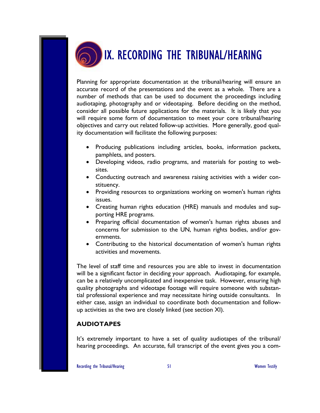

Planning for appropriate documentation at the tribunal/hearing will ensure an accurate record of the presentations and the event as a whole. There are a number of methods that can be used to document the proceedings including audiotaping, photography and or videotaping. Before deciding on the method, consider all possible future applications for the materials. It is likely that you will require some form of documentation to meet your core tribunal/hearing objectives and carry out related follow-up activities. More generally, good quality documentation will facilitate the following purposes:

- Producing publications including articles, books, information packets, pamphlets, and posters.
- Developing videos, radio programs, and materials for posting to websites.
- Conducting outreach and awareness raising activities with a wider constituency.
- Providing resources to organizations working on women's human rights issues.
- Creating human rights education (HRE) manuals and modules and supporting HRE programs.
- Preparing official documentation of women's human rights abuses and concerns for submission to the UN, human rights bodies, and/or governments.
- Contributing to the historical documentation of women's human rights activities and movements.

The level of staff time and resources you are able to invest in documentation will be a significant factor in deciding your approach. Audiotaping, for example, can be a relatively uncomplicated and inexpensive task. However, ensuring high quality photographs and videotape footage will require someone with substantial professional experience and may necessitate hiring outside consultants. In either case, assign an individual to coordinate both documentation and followup activities as the two are closely linked (see section XI).

## **AUDIOTAPES**

It's extremely important to have a set of quality audiotapes of the tribunal/ hearing proceedings. An accurate, full transcript of the event gives you a com-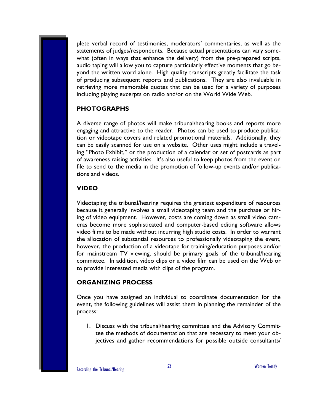plete verbal record of testimonies, moderators' commentaries, as well as the statements of judges/respondents. Because actual presentations can vary somewhat (often in ways that enhance the delivery) from the pre-prepared scripts, audio taping will allow you to capture particularly effective moments that go beyond the written word alone. High quality transcripts greatly facilitate the task of producing subsequent reports and publications. They are also invaluable in retrieving more memorable quotes that can be used for a variety of purposes including playing excerpts on radio and/or on the World Wide Web.

## **PHOTOGRAPHS**

A diverse range of photos will make tribunal/hearing books and reports more engaging and attractive to the reader. Photos can be used to produce publication or videotape covers and related promotional materials. Additionally, they can be easily scanned for use on a website. Other uses might include a traveling "Photo Exhibit," or the production of a calendar or set of postcards as part of awareness raising activities. It's also useful to keep photos from the event on file to send to the media in the promotion of follow-up events and/or publications and videos.

## **VIDEO**

Videotaping the tribunal/hearing requires the greatest expenditure of resources because it generally involves a small videotaping team and the purchase or hiring of video equipment. However, costs are coming down as small video cameras become more sophisticated and computer-based editing software allows video films to be made without incurring high studio costs. In order to warrant the allocation of substantial resources to professionally videotaping the event, however, the production of a videotape for training/education purposes and/or for mainstream TV viewing, should be primary goals of the tribunal/hearing committee. In addition, video clips or a video film can be used on the Web or to provide interested media with clips of the program.

## **ORGANIZING PROCESS**

Once you have assigned an individual to coordinate documentation for the event, the following guidelines will assist them in planning the remainder of the process:

1. Discuss with the tribunal/hearing committee and the Advisory Committee the methods of documentation that are necessary to meet your objectives and gather recommendations for possible outside consultants/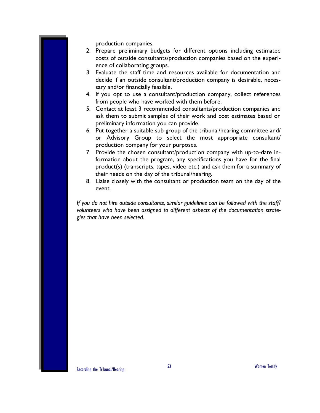production companies.

- 2. Prepare preliminary budgets for different options including estimated costs of outside consultants/production companies based on the experience of collaborating groups.
- 3. Evaluate the staff time and resources available for documentation and decide if an outside consultant/production company is desirable, necessary and/or financially feasible.
- 4. If you opt to use a consultant/production company, collect references from people who have worked with them before.
- 5. Contact at least 3 recommended consultants/production companies and ask them to submit samples of their work and cost estimates based on preliminary information you can provide.
- 6. Put together a suitable sub-group of the tribunal/hearing committee and/ or Advisory Group to select the most appropriate consultant/ production company for your purposes.
- 7. Provide the chosen consultant/production company with up-to-date information about the program, any specifications you have for the final product(s) (transcripts, tapes, video etc.) and ask them for a summary of their needs on the day of the tribunal/hearing.
- 8. Liaise closely with the consultant or production team on the day of the event.

*If you do not hire outside consultants, similar guidelines can be followed with the staff/ volunteers who have been assigned to different aspects of the documentation strategies that have been selected.*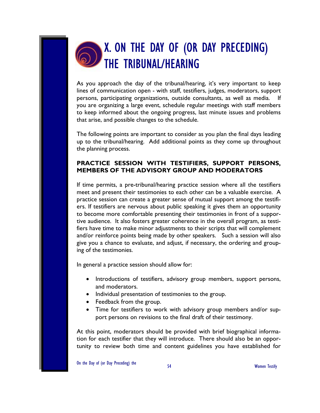# X. ON THE DAY OF (OR DAY PRECEDING) THE TRIBUNAL/HEARING

As you approach the day of the tribunal/hearing, it's very important to keep lines of communication open - with staff, testifiers, judges, moderators, support persons, participating organizations, outside consultants, as well as media. If you are organizing a large event, schedule regular meetings with staff members to keep informed about the ongoing progress, last minute issues and problems that arise, and possible changes to the schedule.

The following points are important to consider as you plan the final days leading up to the tribunal/hearing. Add additional points as they come up throughout the planning process.

## **PRACTICE SESSION WITH TESTIFIERS, SUPPORT PERSONS, MEMBERS OF THE ADVISORY GROUP AND MODERATORS**

If time permits, a pre-tribunal/hearing practice session where all the testifiers meet and present their testimonies to each other can be a valuable exercise. A practice session can create a greater sense of mutual support among the testifiers. If testifiers are nervous about public speaking it gives them an opportunity to become more comfortable presenting their testimonies in front of a supportive audience. It also fosters greater coherence in the overall program, as testifiers have time to make minor adjustments to their scripts that will complement and/or reinforce points being made by other speakers. Such a session will also give you a chance to evaluate, and adjust, if necessary, the ordering and grouping of the testimonies.

In general a practice session should allow for:

- Introductions of testifiers, advisory group members, support persons, and moderators.
- Individual presentation of testimonies to the group.
- Feedback from the group.
- Time for testifiers to work with advisory group members and/or support persons on revisions to the final draft of their testimony.

At this point, moderators should be provided with brief biographical information for each testifier that they will introduce. There should also be an opportunity to review both time and content guidelines you have established for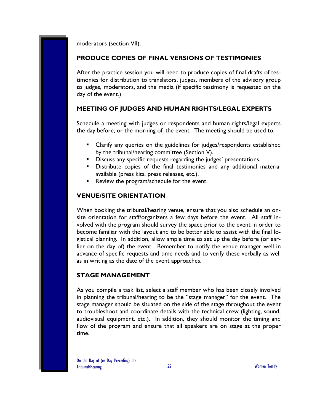moderators (section VII).

## **PRODUCE COPIES OF FINAL VERSIONS OF TESTIMONIES**

After the practice session you will need to produce copies of final drafts of testimonies for distribution to translators, judges, members of the advisory group to judges, moderators, and the media (if specific testimony is requested on the day of the event.)

## **MEETING OF JUDGES AND HUMAN RIGHTS/LEGAL EXPERTS**

Schedule a meeting with judges or respondents and human rights/legal experts the day before, or the morning of, the event. The meeting should be used to:

- **EXTE:** Clarify any queries on the guidelines for judges/respondents established by the tribunal/hearing committee (Section V).
- **Discuss any specific requests regarding the judges' presentations.**
- Distribute copies of the final testimonies and any additional material available (press kits, press releases, etc.).
- Review the program/schedule for the event.

## **VENUE/SITE ORIENTATION**

When booking the tribunal/hearing venue, ensure that you also schedule an onsite orientation for staff/organizers a few days before the event. All staff involved with the program should survey the space prior to the event in order to become familiar with the layout and to be better able to assist with the final logistical planning. In addition, allow ample time to set up the day before (or earlier on the day of) the event. Remember to notify the venue manager well in advance of specific requests and time needs and to verify these verbally as well as in writing as the date of the event approaches.

## **STAGE MANAGEMENT**

As you compile a task list, select a staff member who has been closely involved in planning the tribunal/hearing to be the "stage manager" for the event. The stage manager should be situated on the side of the stage throughout the event to troubleshoot and coordinate details with the technical crew (lighting, sound, audiovisual equipment, etc.). In addition, they should monitor the timing and flow of the program and ensure that all speakers are on stage at the proper time.

On the Day of (or Day Preceding) the Tribunal/Hearing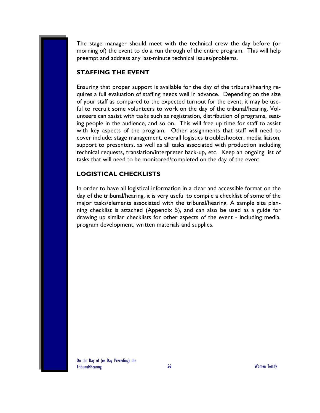The stage manager should meet with the technical crew the day before (or morning of) the event to do a run through of the entire program. This will help preempt and address any last-minute technical issues/problems.

## **STAFFING THE EVENT**

Ensuring that proper support is available for the day of the tribunal/hearing requires a full evaluation of staffing needs well in advance. Depending on the size of your staff as compared to the expected turnout for the event, it may be useful to recruit some volunteers to work on the day of the tribunal/hearing. Volunteers can assist with tasks such as registration, distribution of programs, seating people in the audience, and so on. This will free up time for staff to assist with key aspects of the program. Other assignments that staff will need to cover include: stage management, overall logistics troubleshooter, media liaison, support to presenters, as well as all tasks associated with production including technical requests, translation/interpreter back-up, etc. Keep an ongoing list of tasks that will need to be monitored/completed on the day of the event.

## **LOGISTICAL CHECKLISTS**

In order to have all logistical information in a clear and accessible format on the day of the tribunal/hearing, it is very useful to compile a checklist of some of the major tasks/elements associated with the tribunal/hearing. A sample site planning checklist is attached (Appendix 5), and can also be used as a guide for drawing up similar checklists for other aspects of the event - including media, program development, written materials and supplies.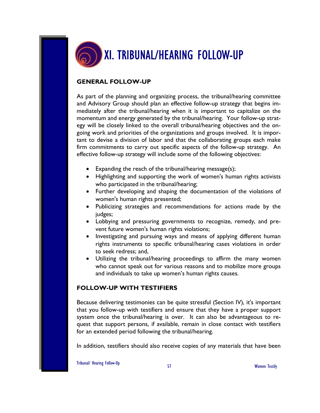

## **GENERAL FOLLOW-UP**

As part of the planning and organizing process, the tribunal/hearing committee and Advisory Group should plan an effective follow-up strategy that begins immediately after the tribunal/hearing when it is important to capitalize on the momentum and energy generated by the tribunal/hearing. Your follow-up strategy will be closely linked to the overall tribunal/hearing objectives and the ongoing work and priorities of the organizations and groups involved. It is important to devise a division of labor and that the collaborating groups each make firm commitments to carry out specific aspects of the follow-up strategy. An effective follow-up strategy will include some of the following objectives:

- Expanding the reach of the tribunal/hearing message(s);
- Highlighting and supporting the work of women's human rights activists who participated in the tribunal/hearing;
- Further developing and shaping the documentation of the violations of women's human rights presented;
- Publicizing strategies and recommendations for actions made by the judges;
- Lobbying and pressuring governments to recognize, remedy, and prevent future women's human rights violations;
- Investigating and pursuing ways and means of applying different human rights instruments to specific tribunal/hearing cases violations in order to seek redress; and,
- Utilizing the tribunal/hearing proceedings to affirm the many women who cannot speak out for various reasons and to mobilize more groups and individuals to take up women's human rights causes.

## **FOLLOW-UP WITH TESTIFIERS**

Because delivering testimonies can be quite stressful (Section IV), it's important that you follow-up with testifiers and ensure that they have a proper support system once the tribunal/hearing is over. It can also be advantageous to request that support persons, if available, remain in close contact with testifiers for an extended period following the tribunal/hearing.

In addition, testifiers should also receive copies of any materials that have been

Tribunal/ Hearing Follow-Up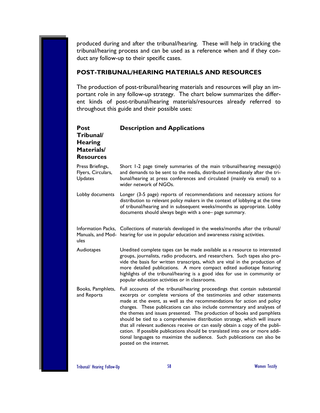produced during and after the tribunal/hearing. These will help in tracking the tribunal/hearing process and can be used as a reference when and if they conduct any follow-up to their specific cases.

## **POST-TRIBUNAL/HEARING MATERIALS AND RESOURCES**

The production of post-tribunal/hearing materials and resources will play an important role in any follow-up strategy. The chart below summarizes the different kinds of post-tribunal/hearing materials/resources already referred to throughout this guide and their possible uses:

| Post<br>Tribunal/<br><b>Hearing</b><br>Materials/<br><b>Resources</b> | <b>Description and Applications</b>                                                                                                                                                                                                                                                                                                                                                                                                                                                                                                                                                                                                                                                                                                       |
|-----------------------------------------------------------------------|-------------------------------------------------------------------------------------------------------------------------------------------------------------------------------------------------------------------------------------------------------------------------------------------------------------------------------------------------------------------------------------------------------------------------------------------------------------------------------------------------------------------------------------------------------------------------------------------------------------------------------------------------------------------------------------------------------------------------------------------|
| Press Briefings,<br>Flyers, Circulars,<br>Updates                     | Short 1-2 page timely summaries of the main tribunal/hearing message(s)<br>and demands to be sent to the media, distributed immediately after the tri-<br>bunal/hearing at press conferences and circulated (mainly via email) to a<br>wider network of NGOs.                                                                                                                                                                                                                                                                                                                                                                                                                                                                             |
| Lobby documents                                                       | Longer (3-5 page) reports of recommendations and necessary actions for<br>distribution to relevant policy makers in the context of lobbying at the time<br>of tribunal/hearing and in subsequent weeks/months as appropriate. Lobby<br>documents should always begin with a one-page summary.                                                                                                                                                                                                                                                                                                                                                                                                                                             |
| ules                                                                  | Information Packs, Collections of materials developed in the weeks/months after the tribunal/<br>Manuals, and Mod- hearing for use in popular education and awareness raising activities.                                                                                                                                                                                                                                                                                                                                                                                                                                                                                                                                                 |
| Audiotapes                                                            | Unedited complete tapes can be made available as a resource to interested<br>groups, journalists, radio producers, and researchers. Such tapes also pro-<br>vide the basis for written transcripts, which are vital in the production of<br>more detailed publications. A more compact edited audiotape featuring<br>highlights of the tribunal/hearing is a good idea for use in community or<br>popular education activities or in classrooms.                                                                                                                                                                                                                                                                                          |
| Books, Pamphlets,<br>and Reports                                      | Full accounts of the tribunal/hearing proceedings that contain substantial<br>excerpts or complete versions of the testimonies and other statements<br>made at the event, as well as the recommendations for action and policy<br>changes. These publications can also include commentary and analyses of<br>the themes and issues presented. The production of books and pamphlets<br>should be tied to a comprehensive distribution strategy, which will insure<br>that all relevant audiences receive or can easily obtain a copy of the publi-<br>cation. If possible publications should be translated into one or more addi-<br>tional languages to maximize the audience. Such publications can also be<br>posted on the internet. |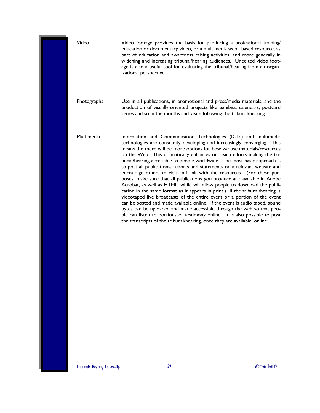| Video       | Video footage provides the basis for producing a professional training/<br>education or documentary video, or a multimedia web- based resource, as<br>part of education and awareness raising activities, and more generally in<br>widening and increasing tribunal/hearing audiences. Unedited video foot-<br>age is also a useful tool for evaluating the tribunal/hearing from an organ-<br>izational perspective.                                                                                                                                                                                                                                                                                                                                                                                                                                                                                                                                                                                                                                                                                                                                                             |
|-------------|-----------------------------------------------------------------------------------------------------------------------------------------------------------------------------------------------------------------------------------------------------------------------------------------------------------------------------------------------------------------------------------------------------------------------------------------------------------------------------------------------------------------------------------------------------------------------------------------------------------------------------------------------------------------------------------------------------------------------------------------------------------------------------------------------------------------------------------------------------------------------------------------------------------------------------------------------------------------------------------------------------------------------------------------------------------------------------------------------------------------------------------------------------------------------------------|
| Photographs | Use in all publications, in promotional and press/media materials, and the<br>production of visually-oriented projects like exhibits, calendars, postcard<br>series and so in the months and years following the tribunal/hearing.                                                                                                                                                                                                                                                                                                                                                                                                                                                                                                                                                                                                                                                                                                                                                                                                                                                                                                                                                |
| Multimedia  | Information and Communication Technologies (ICTs) and multimedia<br>technologies are constantly developing and increasingly converging. This<br>means the there will be more options for how we use materials/resources<br>on the Web. This dramatically enhances outreach efforts making the tri-<br>bunal/hearing accessible to people worldwide. The most basic approach is<br>to post all publications, reports and statements on a relevant website and<br>encourage others to visit and link with the resources. (For these pur-<br>poses, make sure that all publications you produce are available in Adobe<br>Acrobat, as well as HTML, while will allow people to download the publi-<br>cation in the same format as it appears in print.) If the tribunal/hearing is<br>videotaped live broadcasts of the entire event or a portion of the event<br>can be posted and made available online. If the event is audio taped, sound<br>bytes can be uploaded and made accessible through the web so that peo-<br>ple can listen to portions of testimony online. It is also possible to post<br>the transcripts of the tribunal/hearing, once they are available, online. |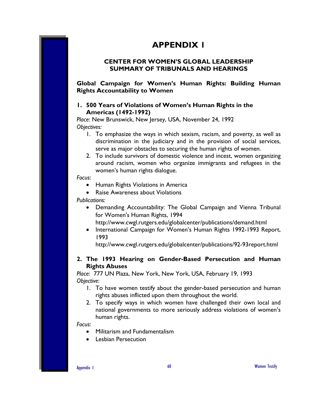## **APPENDIX 1**

## **CENTER FOR WOMEN'S GLOBAL LEADERSHIP SUMMARY OF TRIBUNALS AND HEARINGS**

## **Global Campaign for Women's Human Rights: Building Human Rights Accountability to Women**

## **1. 500 Years of Violations of Women's Human Rights in the Americas (1492-1992)**

*Place*: New Brunswick, New Jersey, USA, November 24, 1992 *Objectives:* 

- 1. To emphasize the ways in which sexism, racism, and poverty, as well as discrimination in the judiciary and in the provision of social services, serve as major obstacles to securing the human rights of women.
- 2. To include survivors of domestic violence and incest, women organizing around racism, women who organize immigrants and refugees in the women's human rights dialogue.

*Focus*:

- Human Rights Violations in America
- Raise Awareness about Violations

*Publications:* 

- Demanding Accountability: The Global Campaign and Vienna Tribunal for Women's Human Rights, 1994
	- http://www.cwgl.rutgers.edu/globalcenter/publications/demand.html
- International Campaign for Women's Human Rights 1992-1993 Report, 1993

http://www.cwgl.rutgers.edu/globalcenter/publications/92-93report.html

## **2. The 1993 Hearing on Gender-Based Persecution and Human Rights Abuses**

*Place*: 777 UN Plaza, New York, New York, USA, February 19, 1993 *Objective*:

- 1. To have women testify about the gender-based persecution and human rights abuses inflicted upon them throughout the world.
- 2. To specify ways in which women have challenged their own local and national governments to more seriously address violations of women's human rights.

*Focus*:

- Militarism and Fundamentalism
- Lesbian Persecution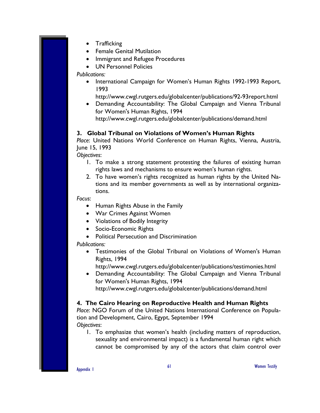- Trafficking
- **Female Genital Mutilation**
- Immigrant and Refugee Procedures
- UN Personnel Policies

*Publications:* 

• International Campaign for Women's Human Rights 1992-1993 Report, 1993

http://www.cwgl.rutgers.edu/globalcenter/publications/92-93report.html

• Demanding Accountability: The Global Campaign and Vienna Tribunal for Women's Human Rights, 1994

http://www.cwgl.rutgers.edu/globalcenter/publications/demand.html

## **3. Global Tribunal on Violations of Women's Human Rights**

*Place*: United Nations World Conference on Human Rights, Vienna, Austria, June 15, 1993

*Objectives*:

- 1. To make a strong statement protesting the failures of existing human rights laws and mechanisms to ensure women's human rights.
- 2. To have women's rights recognized as human rights by the United Nations and its member governments as well as by international organizations.

*Focus*:

- Human Rights Abuse in the Family
- War Crimes Against Women
- Violations of Bodily Integrity
- Socio-Economic Rights
- Political Persecution and Discrimination

## *Publications:*

- Testimonies of the Global Tribunal on Violations of Women's Human Rights, 1994
	- http://www.cwgl.rutgers.edu/globalcenter/publications/testimonies.html
- Demanding Accountability: The Global Campaign and Vienna Tribunal for Women's Human Rights, 1994 http://www.cwgl.rutgers.edu/globalcenter/publications/demand.html

## **4. The Cairo Hearing on Reproductive Health and Human Rights**

*Place*: NGO Forum of the United Nations International Conference on Population and Development, Cairo, Egypt, September 1994 *Objectives*:

1. To emphasize that women's health (including matters of reproduction, sexuality and environmental impact) is a fundamental human right which cannot be compromised by any of the actors that claim control over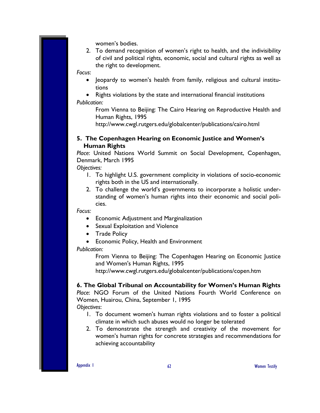women's bodies.

2. To demand recognition of women's right to health, and the indivisibility of civil and political rights, economic, social and cultural rights as well as the right to development.

*Focus*:

- Jeopardy to women's health from family, religious and cultural institutions
- Rights violations by the state and international financial institutions

*Publication:* 

- From Vienna to Beijing: The Cairo Hearing on Reproductive Health and Human Rights, 1995
- http://www.cwgl.rutgers.edu/globalcenter/publications/cairo.html

## **5. The Copenhagen Hearing on Economic Justice and Women's Human Rights**

*Place*: United Nations World Summit on Social Development, Copenhagen, Denmark, March 1995

*Objectives:* 

- 1. To highlight U.S. government complicity in violations of socio-economic rights both in the US and internationally.
- 2. To challenge the world's governments to incorporate a holistic understanding of women's human rights into their economic and social policies.

*Focus:* 

- Economic Adjustment and Marginalization
- Sexual Exploitation and Violence
- Trade Policy
- Economic Policy, Health and Environment

## *Publication:*

From Vienna to Beijing: The Copenhagen Hearing on Economic Justice and Women's Human Rights, 1995

http://www.cwgl.rutgers.edu/globalcenter/publications/copen.htm

## **6. The Global Tribunal on Accountability for Women's Human Rights**

*Place*: NGO Forum of the United Nations Fourth World Conference on Women, Huairou, China, September 1, 1995

*Objectives*:

- 1. To document women's human rights violations and to foster a political climate in which such abuses would no longer be tolerated
- 2. To demonstrate the strength and creativity of the movement for women's human rights for concrete strategies and recommendations for achieving accountability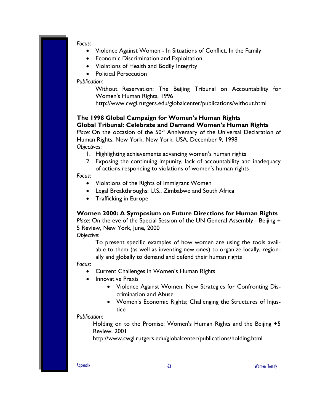#### *Focus*:

- Violence Against Women In Situations of Conflict, In the Family
- Economic Discrimination and Exploitation
- Violations of Health and Bodily Integrity
- Political Persecution

#### *Publication:*

Without Reservation: The Beijing Tribunal on Accountability for Women's Human Rights, 1996

http://www.cwgl.rutgers.edu/globalcenter/publications/without.html

#### **The 1998 Global Campaign for Women's Human Rights Global Tribunal: Celebrate and Demand Women's Human Rights**

Place: On the occasion of the 50<sup>th</sup> Anniversary of the Universal Declaration of Human Rights, New York, New York, USA, December 9, 1998 *Objectives*:

- 1. Highlighting achievements advancing women's human rights
- 2. Exposing the continuing impunity, lack of accountability and inadequacy of actions responding to violations of women's human rights

*Focus*:

- Violations of the Rights of Immigrant Women
- Legal Breakthroughs: U.S., Zimbabwe and South Africa
- Trafficking in Europe

## **Women 2000: A Symposium on Future Directions for Human Rights**

*Place*: On the eve of the Special Session of the UN General Assembly - Beijing + 5 Review, New York, June, 2000

*Objective*:

To present specific examples of how women are using the tools available to them (as well as inventing new ones) to organize locally, regionally and globally to demand and defend their human rights

*Focus*:

- Current Challenges in Women's Human Rights
- **Innovative Praxis** 
	- Violence Against Women: New Strategies for Confronting Discrimination and Abuse
	- Women's Economic Rights; Challenging the Structures of Injustice

#### *Publication*:

Holding on to the Promise: Women's Human Rights and the Beijing +5 Review, 2001

http://www.cwgl.rutgers.edu/globalcenter/publications/holding.html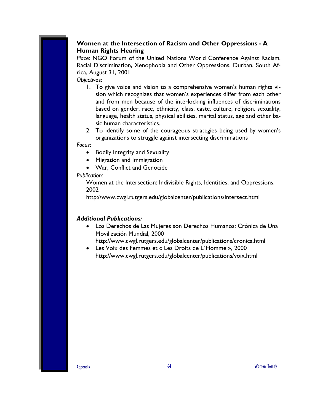## **Women at the Intersection of Racism and Other Oppressions - A Human Rights Hearing**

*Place*: NGO Forum of the United Nations World Conference Against Racism, Racial Discrimination, Xenophobia and Other Oppressions, Durban, South Africa, August 31, 2001

*Objectiv*es:

- 1. To give voice and vision to a comprehensive women's human rights vision which recognizes that women's experiences differ from each other and from men because of the interlocking influences of discriminations based on gender, race, ethnicity, class, caste, culture, religion, sexuality, language, health status, physical abilities, marital status, age and other basic human characteristics.
- 2. To identify some of the courageous strategies being used by women's organizations to struggle against intersecting discriminations

*Focus*:

- Bodily Integrity and Sexuality
- Migration and Immigration
- War, Conflict and Genocide

#### *Publication:*

Women at the Intersection: Indivisible Rights, Identities, and Oppressions, 2002

http://www.cwgl.rutgers.edu/globalcenter/publications/intersect.html

## *Additional Publications:*

- Los Derechos de Las Mujeres son Derechos Humanos: Crónica de Una Movilización Mundial, 2000
- http://www.cwgl.rutgers.edu/globalcenter/publications/cronica.html
- Les Voix des Femmes et « Les Droits de L´Homme », 2000 http://www.cwgl.rutgers.edu/globalcenter/publications/voix.html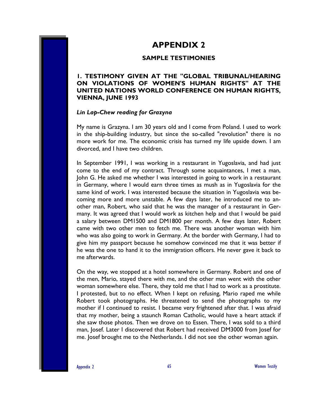## **APPENDIX 2**

## **SAMPLE TESTIMONIES**

## **1. TESTIMONY GIVEN AT THE "GLOBAL TRIBUNAL/HEARING ON VIOLATIONS OF WOMEN'S HUMAN RIGHTS" AT THE UNITED NATIONS WORLD CONFERENCE ON HUMAN RIGHTS, VIENNA, JUNE 1993**

#### *Lin Lap-Chew reading for Grazyna*

My name is Grazyna. I am 30 years old and I come from Poland. I used to work in the ship-building industry, but since the so-called "revolution" there is no more work for me. The economic crisis has turned my life upside down. I am divorced, and I have two children.

In September 1991, I was working in a restaurant in Yugoslavia, and had just come to the end of my contract. Through some acquaintances, I met a man, John G. He asked me whether I was interested in going to work in a restaurant in Germany, where I would earn three times as mush as in Yugoslavia for the same kind of work. I was interested because the situation in Yugoslavia was becoming more and more unstable. A few days later, he introduced me to another man, Robert, who said that he was the manager of a restaurant in Germany. It was agreed that I would work as kitchen help and that I would be paid a salary between DM1500 and DM1800 per month. A few days later, Robert came with two other men to fetch me. There was another woman with him who was also going to work in Germany. At the border with Germany, I had to give him my passport because he somehow convinced me that it was better if he was the one to hand it to the immigration officers. He never gave it back to me afterwards.

On the way, we stopped at a hotel somewhere in Germany. Robert and one of the men, Mario, stayed there with me, and the other man went with the other woman somewhere else. There, they told me that I had to work as a prostitute. I protested, but to no effect. When I kept on refusing, Mario raped me while Robert took photographs. He threatened to send the photographs to my mother if I continued to resist. I became very frightened after that. I was afraid that my mother, being a staunch Roman Catholic, would have a heart attack if she saw those photos. Then we drove on to Essen. There, I was sold to a third man, Josef. Later I discovered that Robert had received DM3000 from Josef for me. Josef brought me to the Netherlands. I did not see the other woman again.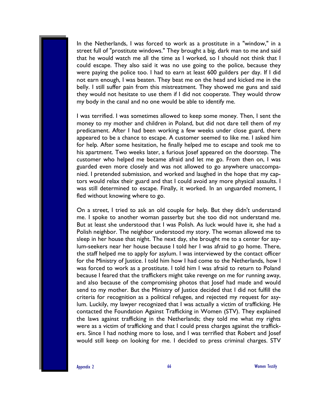In the Netherlands, I was forced to work as a prostitute in a "window," in a street full of "prostitute windows." They brought a big, dark man to me and said that he would watch me all the time as I worked, so I should not think that I could escape. They also said it was no use going to the police, because they were paying the police too. I had to earn at least 600 guilders per day. If I did not earn enough, I was beaten. They beat me on the head and kicked me in the belly. I still suffer pain from this mistreatment. They showed me guns and said they would not hesitate to use them if I did not cooperate. They would throw my body in the canal and no one would be able to identify me.

I was terrified. I was sometimes allowed to keep some money. Then, I sent the money to my mother and children in Poland, but did not dare tell them of my predicament. After I had been working a few weeks under close guard, there appeared to be a chance to escape. A customer seemed to like me. I asked him for help. After some hesitation, he finally helped me to escape and took me to his apartment. Two weeks later, a furious Josef appeared on the doorstep. The customer who helped me became afraid and let me go. From then on, I was guarded even more closely and was not allowed to go anywhere unaccompanied. I pretended submission, and worked and laughed in the hope that my captors would relax their guard and that I could avoid any more physical assaults. I was still determined to escape. Finally, it worked. In an unguarded moment, I fled without knowing where to go.

On a street, I tried to ask an old couple for help. But they didn't understand me. I spoke to another woman passerby but she too did not understand me. But at least she understood that I was Polish. As luck would have it, she had a Polish neighbor. The neighbor understood my story. The woman allowed me to sleep in her house that night. The next day, she brought me to a center for asylum-seekers near her house because I told her I was afraid to go home. There, the staff helped me to apply for asylum. I was interviewed by the contact officer for the Ministry of Justice. I told him how I had come to the Netherlands, how I was forced to work as a prostitute. I told him I was afraid to return to Poland because I feared that the traffickers might take revenge on me for running away, and also because of the compromising photos that Josef had made and would send to my mother. But the Ministry of Justice decided that I did not fulfill the criteria for recognition as a political refugee, and rejected my request for asylum. Luckily, my lawyer recognized that I was actually a victim of trafficking. He contacted the Foundation Against Trafficking in Women (STV). They explained the laws against trafficking in the Netherlands; they told me what my rights were as a victim of trafficking and that I could press charges against the traffickers. Since I had nothing more to lose, and I was terrified that Robert and Josef would still keep on looking for me. I decided to press criminal charges. STV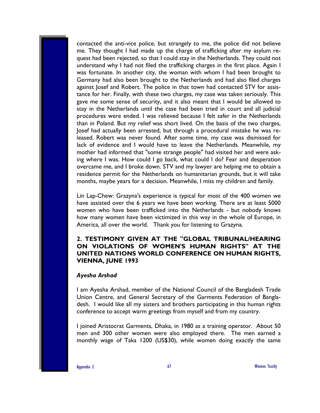contacted the anti-vice police, but strangely to me, the police did not believe me. They thought I had made up the charge of trafficking after my asylum request had been rejected, so that I could stay in the Netherlands. They could not understand why I had not filed the trafficking charges in the first place. Again I was fortunate. In another city, the woman with whom I had been brought to Germany had also been brought to the Netherlands and had also filed charges against Josef and Robert. The police in that town had contacted STV for assistance for her. Finally, with these two charges, my case was taken seriously. This gave me some sense of security, and it also meant that I would be allowed to stay in the Netherlands until the case had been tried in court and all judicial procedures were ended. I was relieved because I felt safer in the Netherlands than in Poland. But my relief was short lived. On the basis of the two charges, Josef had actually been arrested, but through a procedural mistake he was released. Robert was never found. After some time, my case was dismissed for lack of evidence and I would have to leave the Netherlands. Meanwhile, my mother had informed that "some strange people" had visited her and were asking where I was. How could I go back, what could I do? Fear and desperation overcame me, and I broke down. STV and my lawyer are helping me to obtain a residence permit for the Netherlands on humanitarian grounds, but it will take months, maybe years for a decision. Meanwhile, I miss my children and family.

Lin Lap-Chew: Grazyna's experience is typical for most of the 400 women we have assisted over the 6 years we have been working. There are at least 5000 women who have been trafficked into the Netherlands - but nobody knows how many women have been victimized in this way in the whole of Europe, in America, all over the world. Thank you for listening to Grazyna.

## **2. TESTIMONY GIVEN AT THE "GLOBAL TRIBUNAL/HEARING ON VIOLATIONS OF WOMEN'S HUMAN RIGHTS" AT THE UNITED NATIONS WORLD CONFERENCE ON HUMAN RIGHTS, VIENNA, JUNE 1993**

## *Ayesha Arshad*

I am Ayesha Arshad, member of the National Council of the Bangladesh Trade Union Centre, and General Secretary of the Garments Federation of Bangladesh. I would like all my sisters and brothers participating in this human rights conference to accept warm greetings from myself and from my country.

I joined Aristocrat Garments, Dhaka, in 1980 as a training operator. About 50 men and 300 other women were also employed there. The men earned a monthly wage of Taka 1200 (US\$30), while women doing exactly the same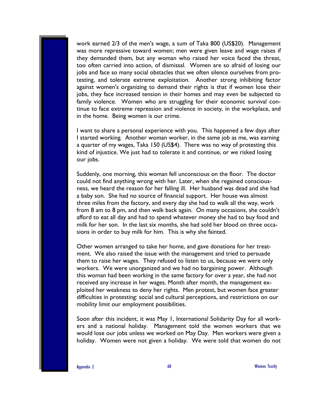work earned 2/3 of the men's wage, a sum of Taka 800 (US\$20). Management was more repressive toward women; men were given leave and wage raises if they demanded them, but any woman who raised her voice faced the threat, too often carried into action, of dismissal. Women are so afraid of losing our jobs and face so many social obstacles that we often silence ourselves from protesting, and tolerate extreme exploitation. Another strong inhibiting factor against women's organizing to demand their rights is that if women lose their jobs, they face increased tension in their homes and may even be subjected to family violence. Women who are struggling for their economic survival continue to face extreme repression and violence in society, in the workplace, and in the home. Being women is our crime.

I want to share a personal experience with you. This happened a few days after I started working. Another woman worker, in the same job as me, was earning a quarter of my wages, Taka 150 (US\$4). There was no way of protesting this kind of injustice. We just had to tolerate it and continue, or we risked losing our jobs.

Suddenly, one morning, this woman fell unconscious on the floor. The doctor could not find anything wrong with her. Later, when she regained consciousness, we heard the reason for her falling ill. Her husband was dead and she had a baby son. She had no source of financial support. Her house was almost three miles from the factory, and every day she had to walk all the way, work from 8 am to 8 pm, and then walk back again. On many occasions, she couldn't afford to eat all day and had to spend whatever money she had to buy food and milk for her son. In the last six months, she had sold her blood on three occasions in order to buy milk for him. This is why she fainted.

Other women arranged to take her home, and gave donations for her treatment. We also raised the issue with the management and tried to persuade them to raise her wages. They refused to listen to us, because we were only workers. We were unorganized and we had no bargaining power. Although this woman had been working in the same factory for over a year, she had not received any increase in her wages. Month after month, the management exploited her weakness to deny her rights. Men protest, but women face greater difficulties in protesting: social and cultural perceptions, and restrictions on our mobility limit our employment possibilities.

Soon after this incident, it was May 1, International Solidarity Day for all workers and a national holiday. Management told the women workers that we would lose our jobs unless we worked on May Day. Men workers were given a holiday. Women were not given a holiday. We were told that women do not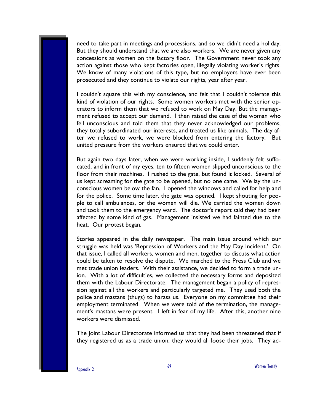need to take part in meetings and processions, and so we didn't need a holiday. But they should understand that we are also workers. We are never given any concessions as women on the factory floor. The Government never took any action against those who kept factories open, illegally violating worker's rights. We know of many violations of this type, but no employers have ever been prosecuted and they continue to violate our rights, year after year.

I couldn't square this with my conscience, and felt that I couldn't tolerate this kind of violation of our rights. Some women workers met with the senior operators to inform them that we refused to work on May Day. But the management refused to accept our demand. I then raised the case of the woman who fell unconscious and told them that they never acknowledged our problems, they totally subordinated our interests, and treated us like animals. The day after we refused to work, we were blocked from entering the factory. But united pressure from the workers ensured that we could enter.

But again two days later, when we were working inside, I suddenly felt suffocated, and in front of my eyes, ten to fifteen women slipped unconscious to the floor from their machines. I rushed to the gate, but found it locked. Several of us kept screaming for the gate to be opened, but no one came. We lay the unconscious women below the fan. I opened the windows and called for help and for the police. Some time later, the gate was opened. I kept shouting for people to call ambulances, or the women will die. We carried the women down and took them to the emergency ward. The doctor's report said they had been affected by some kind of gas. Management insisted we had fainted due to the heat. Our protest began.

Stories appeared in the daily newspaper. The main issue around which our struggle was held was 'Repression of Workers and the May Day Incident.' On that issue, I called all workers, women and men, together to discuss what action could be taken to resolve the dispute. We marched to the Press Club and we met trade union leaders. With their assistance, we decided to form a trade union. With a lot of difficulties, we collected the necessary forms and deposited them with the Labour Directorate. The management began a policy of repression against all the workers and particularly targeted me. They used both the police and mastans (thugs) to harass us. Everyone on my committee had their employment terminated. When we were told of the termination, the management's mastans were present. I left in fear of my life. After this, another nine workers were dismissed.

The Joint Labour Directorate informed us that they had been threatened that if they registered us as a trade union, they would all loose their jobs. They ad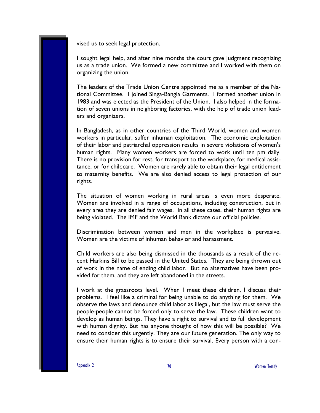vised us to seek legal protection.

I sought legal help, and after nine months the court gave judgment recognizing us as a trade union. We formed a new committee and I worked with them on organizing the union.

The leaders of the Trade Union Centre appointed me as a member of the National Committee. I joined Singa-Bangla Garments. I formed another union in 1983 and was elected as the President of the Union. I also helped in the formation of seven unions in neighboring factories, with the help of trade union leaders and organizers.

In Bangladesh, as in other countries of the Third World, women and women workers in particular, suffer inhuman exploitation. The economic exploitation of their labor and patriarchal oppression results in severe violations of women's human rights. Many women workers are forced to work until ten pm daily. There is no provision for rest, for transport to the workplace, for medical assistance, or for childcare. Women are rarely able to obtain their legal entitlement to maternity benefits. We are also denied access to legal protection of our rights.

The situation of women working in rural areas is even more desperate. Women are involved in a range of occupations, including construction, but in every area they are denied fair wages. In all these cases, their human rights are being violated. The IMF and the World Bank dictate our official policies.

Discrimination between women and men in the workplace is pervasive. Women are the victims of inhuman behavior and harassment.

Child workers are also being dismissed in the thousands as a result of the recent Harkins Bill to be passed in the United States. They are being thrown out of work in the name of ending child labor. But no alternatives have been provided for them, and they are left abandoned in the streets.

I work at the grassroots level. When I meet these children, I discuss their problems. I feel like a criminal for being unable to do anything for them. We observe the laws and denounce child labor as illegal, but the law must serve the people-people cannot be forced only to serve the law. These children want to develop as human beings. They have a right to survival and to full development with human dignity. But has anyone thought of how this will be possible? We need to consider this urgently. They are our future generation. The only way to ensure their human rights is to ensure their survival. Every person with a con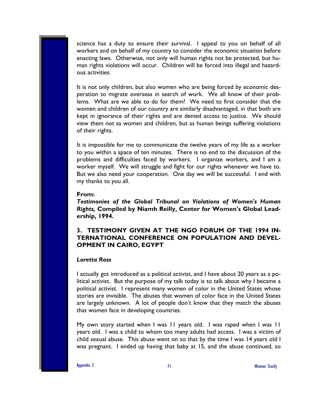science has a duty to ensure their survival. I appeal to you on behalf of all workers and on behalf of my country to consider the economic situation before enacting laws. Otherwise, not only will human rights not be protected, but human rights violations will occur. Children will be forced into illegal and hazardous activities.

It is not only children, but also women who are being forced by economic desperation to migrate overseas in search of work. We all know of their problems. What are we able to do for them? We need to first consider that the women and children of our country are similarly disadvantaged, in that both are kept in ignorance of their rights and are denied access to justice. We should view them not as women and children, but as human beings suffering violations of their rights.

It is impossible for me to communicate the twelve years of my life as a worker to you within a space of ten minutes. There is no end to the discussion of the problems and difficulties faced by workers. I organize workers, and I am a worker myself. We will struggle and fight for our rights whenever we have to. But we also need your cooperation. One day we will be successful. I end with my thanks to you all.

#### **From:**

*Testimonies of the Global Tribunal on Violations of Women's Human Rights,* **Compiled by Niamh Reilly, Center for Women's Global Leadership, 1994.** 

## **3. TESTIMONY GIVEN AT THE NGO FORUM OF THE 1994 IN-TERNATIONAL CONFERENCE ON POPULATION AND DEVEL-OPMENT IN CAIRO, EGYPT**

#### *Loretta Ross*

I actually got introduced as a political activist, and I have about 20 years as a political activist. But the purpose of my talk today is to talk about why I became a political activist. I represent many women of color in the United States whose stories are invisible. The abuses that women of color face in the United States are largely unknown. A lot of people don't know that they match the abuses that women face in developing countries.

My own story started when I was 11 years old. I was raped when I was 11 years old. I was a child to whom too many adults had access. I was a victim of child sexual abuse. This abuse went on so that by the time I was 14 years old I was pregnant. I ended up having that baby at 15, and the abuse continued, so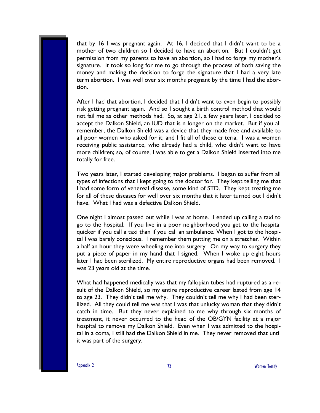that by 16 I was pregnant again. At 16, I decided that I didn't want to be a mother of two children so I decided to have an abortion. But I couldn't get permission from my parents to have an abortion, so I had to forge my mother's signature. It took so long for me to go through the process of both saving the money and making the decision to forge the signature that I had a very late term abortion. I was well over six months pregnant by the time I had the abortion.

After I had that abortion, I decided that I didn't want to even begin to possibly risk getting pregnant again. And so I sought a birth control method that would not fail me as other methods had. So, at age 21, a few years later, I decided to accept the Dalkon Shield, an IUD that is n longer on the market. But if you all remember, the Dalkon Shield was a device that they made free and available to all poor women who asked for it; and I fit all of those criteria. I was a women receiving public assistance, who already had a child, who didn't want to have more children; so, of course, I was able to get a Dalkon Shield inserted into me totally for free.

Two years later, I started developing major problems. I began to suffer from all types of infections that I kept going to the doctor for. They kept telling me that I had some form of venereal disease, some kind of STD. They kept treating me for all of these diseases for well over six months that it later turned out I didn't have. What I had was a defective Dalkon Shield.

One night I almost passed out while I was at home. I ended up calling a taxi to go to the hospital. If you live in a poor neighborhood you get to the hospital quicker if you call a taxi than if you call an ambulance. When I got to the hospital I was barely conscious. I remember them putting me on a stretcher. Within a half an hour they were wheeling me into surgery. On my way to surgery they put a piece of paper in my hand that I signed. When I woke up eight hours later I had been sterilized. My entire reproductive organs had been removed. I was 23 years old at the time.

What had happened medically was that my fallopian tubes had ruptured as a result of the Dalkon Shield, so my entire reproductive career lasted from age 14 to age 23. They didn't tell me why. They couldn't tell me why I had been sterilized. All they could tell me was that I was that unlucky woman that they didn't catch in time. But they never explained to me why through six months of treatment, it never occurred to the head of the OB/GYN facility at a major hospital to remove my Dalkon Shield. Even when I was admitted to the hospital in a coma, I still had the Dalkon Shield in me. They never removed that until it was part of the surgery.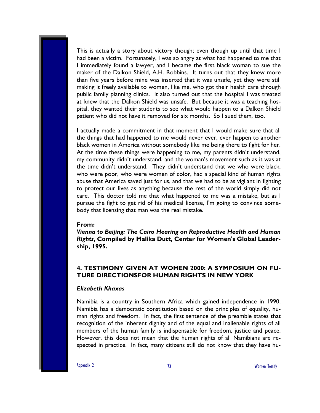This is actually a story about victory though; even though up until that time I had been a victim. Fortunately, I was so angry at what had happened to me that I immediately found a lawyer, and I became the first black woman to sue the maker of the Dalkon Shield, A.H. Robbins. It turns out that they knew more than five years before mine was inserted that it was unsafe, yet they were still making it freely available to women, like me, who got their health care through public family planning clinics. It also turned out that the hospital I was treated at knew that the Dalkon Shield was unsafe. But because it was a teaching hospital, they wanted their students to see what would happen to a Dalkon Shield patient who did not have it removed for six months. So I sued them, too.

I actually made a commitment in that moment that I would make sure that all the things that had happened to me would never ever, ever happen to another black women in America without somebody like me being there to fight for her. At the time these things were happening to me, my parents didn't understand, my community didn't understand, and the woman's movement such as it was at the time didn't understand. They didn't understand that we who were black, who were poor, who were women of color, had a special kind of human rights abuse that America saved just for us, and that we had to be as vigilant in fighting to protect our lives as anything because the rest of the world simply did not care. This doctor told me that what happened to me was a mistake, but as I pursue the fight to get rid of his medical license, I'm going to convince somebody that licensing that man was the real mistake.

#### **From:**

*Vienna to Beijing: The Cairo Hearing on Reproductive Health and Human Rights***, Compiled by Malika Dutt, Center for Women's Global Leadership, 1995.** 

## **4. TESTIMONY GIVEN AT WOMEN 2000: A SYMPOSIUM ON FU-TURE DIRECTIONSFOR HUMAN RIGHTS IN NEW YORK**

### *Elizabeth Khaxas*

Namibia is a country in Southern Africa which gained independence in 1990. Namibia has a democratic constitution based on the principles of equality, human rights and freedom. In fact, the first sentence of the preamble states that recognition of the inherent dignity and of the equal and inalienable rights of all members of the human family is indispensable for freedom, justice and peace. However, this does not mean that the human rights of all Namibians are respected in practice. In fact, many citizens still do not know that they have hu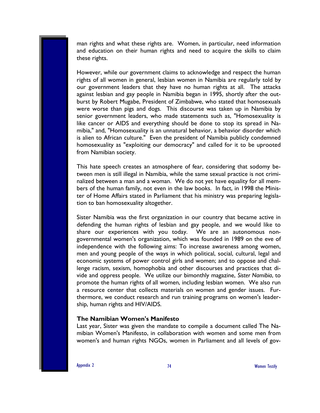man rights and what these rights are. Women, in particular, need information and education on their human rights and need to acquire the skills to claim these rights.

However, while our government claims to acknowledge and respect the human rights of all women in general, lesbian women in Namibia are regularly told by our government leaders that they have no human rights at all. The attacks against lesbian and gay people in Namibia began in 1995, shortly after the outburst by Robert Mugabe, President of Zimbabwe, who stated that homosexuals were worse than pigs and dogs. This discourse was taken up in Namibia by senior government leaders, who made statements such as, "Homosexuality is like cancer or AIDS and everything should be done to stop its spread in Namibia," and, "Homosexuality is an unnatural behavior, a behavior disorder which is alien to African culture." Even the president of Namibia publicly condemned homosexuality as "exploiting our democracy" and called for it to be uprooted from Namibian society.

This hate speech creates an atmosphere of fear, considering that sodomy between men is still illegal in Namibia, while the same sexual practice is not criminalized between a man and a woman. We do not yet have equality for all members of the human family, not even in the law books. In fact, in 1998 the Minister of Home Affairs stated in Parliament that his ministry was preparing legislation to ban homosexuality altogether.

Sister Namibia was the first organization in our country that became active in defending the human rights of lesbian and gay people, and we would like to share our experiences with you today. We are an autonomous nongovernmental women's organization, which was founded in 1989 on the eve of independence with the following aims: To increase awareness among women, men and young people of the ways in which political, social, cultural, legal and economic systems of power control girls and women; and to oppose and challenge racism, sexism, homophobia and other discourses and practices that divide and oppress people. We utilize our bimonthly magazine, *Sister Namibia*, to promote the human rights of all women, including lesbian women. We also run a resource center that collects materials on women and gender issues. Furthermore, we conduct research and run training programs on women's leadership, human rights and HIV/AIDS.

### **The Namibian Women's Manifesto**

Last year, Sister was given the mandate to compile a document called The Namibian Women's Manifesto, in collaboration with women and some men from women's and human rights NGOs, women in Parliament and all levels of gov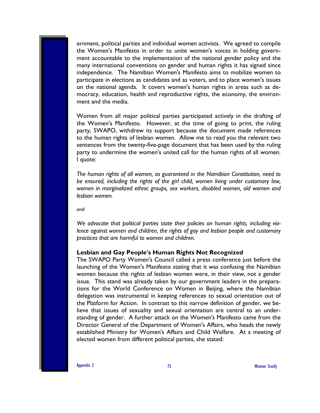ernment, political parties and individual women activists. We agreed to compile the Women's Manifesto in order to unite women's voices in holding government accountable to the implementation of the national gender policy and the many international conventions on gender and human rights it has signed since independence. The Namibian Women's Manifesto aims to mobilize women to participate in elections as candidates and as voters, and to place women's issues on the national agenda. It covers women's human rights in areas such as democracy, education, health and reproductive rights, the economy, the environment and the media.

Women from all major political parties participated actively in the drafting of the Women's Manifesto. However, at the time of going to print, the ruling party, SWAPO, withdrew its support because the document made references to the human rights of lesbian women. Allow me to read you the relevant two sentences from the twenty-five-page document that has been used by the ruling party to undermine the women's united call for the human rights of all women. I quote:

*The human rights of all women, as guaranteed in the Namibian Constitution, need to be ensured, including the rights of the girl child, women living under customary law, women in marginalized ethnic groups, sex workers, disabled women, old women and lesbian women.* 

and:

*We advocate that political parties state their policies on human rights, including violence against women and children, the rights of gay and lesbian people and customary practices that are harmful to women and children.* 

### **Lesbian and Gay People's Human Rights Not Recognized**

The SWAPO Party Women's Council called a press conference just before the launching of the Women's Manifesto stating that it was confusing the Namibian women because the rights of lesbian women were, in their view, not a gender issue. This stand was already taken by our government leaders in the preparations for the World Conference on Women in Beijing, where the Namibian delegation was instrumental in keeping references to sexual orientation out of the Platform for Action. In contrast to this narrow definition of gender, we believe that issues of sexuality and sexual orientation are central to an understanding of gender. A further attack on the Women's Manifesto came from the Director General of the Department of Women's Affairs, who heads the newly established Ministry for Women's Affairs and Child Welfare. At a meeting of elected women from different political parties, she stated: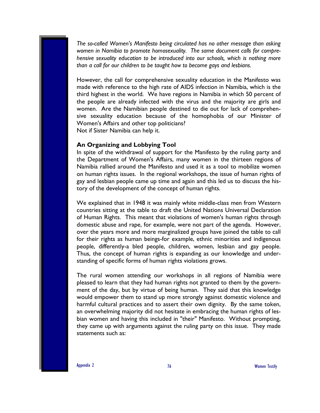*The so-called Women's Manifesto being circulated has no other message than asking women in Namibia to promote homosexuality. The same document calls for comprehensive sexuality education to be introduced into our schools, which is nothing more than a call for our children to be taught how to become gays and lesbians.* 

However, the call for comprehensive sexuality education in the Manifesto was made with reference to the high rate of AIDS infection in Namibia, which is the third highest in the world. We have regions in Namibia in which 50 percent of the people are already infected with the virus and the majority are girls and women. Are the Namibian people destined to die out for lack of comprehensive sexuality education because of the homophobia of our Minister of Women's Affairs and other top politicians? Not if Sister Namibia can help it.

#### **An Organizing and Lobbying Tool**

In spite of the withdrawal of support for the Manifesto by the ruling party and the Department of Women's Affairs, many women in the thirteen regions of Namibia rallied around the Manifesto and used it as a tool to mobilize women on human rights issues. In the regional workshops, the issue of human rights of gay and lesbian people came up time and again and this led us to discuss the history of the development of the concept of human rights.

We explained that in 1948 it was mainly white middle-class men from Western countries sitting at the table to draft the United Nations Universal Declaration of Human Rights. This meant that violations of women's human rights through domestic abuse and rape, for example, were not part of the agenda. However, over the years more and more marginalized groups have joined the table to call for their rights as human beings-for example, ethnic minorities and indigenous people, differently-a bled people, children, women, lesbian and gay people. Thus, the concept of human rights is expanding as our knowledge and understanding of specific forms of human rights violations grows.

The rural women attending our workshops in all regions of Namibia were pleased to learn that they had human rights not granted to them by the government of the day, but by virtue of being human. They said that this knowledge would empower them to stand up more strongly against domestic violence and harmful cultural practices and to assert their own dignity. By the same token, an overwhelming majority did not hesitate in embracing the human rights of lesbian women and having this included in "their" Manifesto. Without prompting, they came up with arguments against the ruling party on this issue. They made statements such as: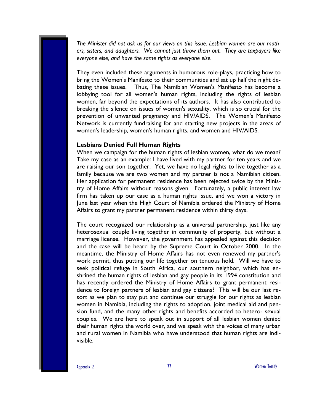*The Minister did not ask us for our views on this issue. Lesbian women are our mothers, sisters, and daughters. We cannot just throw them out. They are taxpayers like everyone else, and have the same rights as everyone else.* 

They even included these arguments in humorous role-plays, practicing how to bring the Women's Manifesto to their communities and sat up half the night debating these issues. Thus, The Namibian Women's Manifesto has become a lobbying tool for all women's human rights, including the rights of lesbian women, far beyond the expectations of its authors. It has also contributed to breaking the silence on issues of women's sexuality, which is so crucial for the prevention of unwanted pregnancy and HIV/AIDS. The Women's Manifesto Network is currently fundraising for and starting new projects in the areas of women's leadership, women's human rights, and women and HIV/AIDS.

### **Lesbians Denied Full Human Rights**

When we campaign for the human rights of lesbian women, what do we mean? Take my case as an example: I have lived with my partner for ten years and we are raising our son together. Yet, we have no legal rights to live together as a family because we are two women and my partner is not a Namibian citizen. Her application for permanent residence has been rejected twice by the Ministry of Home Affairs without reasons given. Fortunately, a public interest law firm has taken up our case as a human rights issue, and we won a victory in June last year when the High Court of Namibia ordered the Ministry of Home Affairs to grant my partner permanent residence within thirty days.

The court recognized our relationship as a universal partnership, just like any heterosexual couple living together in community of property, but without a marriage license. However, the government has appealed against this decision and the case will be heard by the Supreme Court in October 2000. In the meantime, the Ministry of Home Affairs has not even renewed my partner's work permit, thus putting our life together on tenuous hold. Will we have to seek political refuge in South Africa, our southern neighbor, which has enshrined the human rights of lesbian and gay people in its 1994 constitution and has recently ordered the Ministry of Home Affairs to grant permanent residence to foreign partners of lesbian and gay citizens? This will be our last resort as we plan to stay put and continue our struggle for our rights as lesbian women in Namibia, including the rights to adoption, joint medical aid and pension fund, and the many other rights and benefits accorded to hetero- sexual couples. We are here to speak out in support of all lesbian women denied their human rights the world over, and we speak with the voices of many urban and rural women in Namibia who have understood that human rights are indivisible.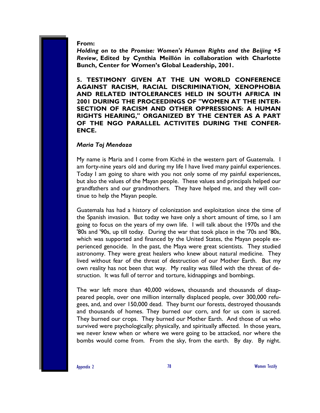### **From:**

*Holding on to the Promise: Women's Human Rights and the Beijing +5 Review***, Edited by Cynthia Meillón in collaboration with Charlotte Bunch, Center for Women's Global Leadership, 2001.** 

**5. TESTIMONY GIVEN AT THE UN WORLD CONFERENCE AGAINST RACISM, RACIAL DISCRIMINATION, XENOPHOBIA AND RELATED INTOLERANCES HELD IN SOUTH AFRICA IN 2001 DURING THE PROCEEDINGS OF "WOMEN AT THE INTER-SECTION OF RACISM AND OTHER OPPRESSIONS: A HUMAN RIGHTS HEARING," ORGANIZED BY THE CENTER AS A PART OF THE NGO PARALLEL ACTIVITES DURING THE CONFER-ENCE.** 

### *Maria Toj Mendoza*

My name is Maria and I come from Kiché in the western part of Guatemala. I am forty-nine years old and during my life I have lived many painful experiences. Today I am going to share with you not only some of my painful experiences, but also the values of the Mayan people. These values and principals helped our grandfathers and our grandmothers. They have helped me, and they will continue to help the Mayan people.

Guatemala has had a history of colonization and exploitation since the time of the Spanish invasion. But today we have only a short amount of time, so I am going to focus on the years of my own life. I will talk about the 1970s and the '80s and '90s, up till today. During the war that took place in the '70s and '80s, which was supported and financed by the United States, the Mayan people experienced genocide. In the past, the Maya were great scientists. They studied astronomy. They were great healers who knew about natural medicine. They lived without fear of the threat of destruction of our Mother Earth. But my own reality has not been that way. My reality was filled with the threat of destruction. It was full of terror and torture, kidnappings and bombings.

The war left more than 40,000 widows, thousands and thousands of disappeared people, over one million internally displaced people, over 300,000 refugees, and, and over 150,000 dead. They burnt our forests, destroyed thousands and thousands of homes. They burned our corn, and for us com is sacred. They burned our crops. They burned our Mother Earth. And those of us who survived were psychologically; physically, and spiritually affected. In those years, we never knew when or where we were going to be attacked, nor where the bombs would come from. From the sky, from the earth. By day. By night.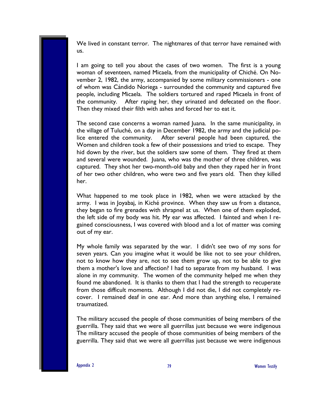We lived in constant terror. The nightmares of that terror have remained with us.

I am going to tell you about the cases of two women. The first is a young woman of seventeen, named Micaela, from the municipality of Chiché. On November 2, 1982, the army, accompanied by some military commissioners - one of whom was Cándido Noriega - surrounded the community and captured five people, including Micaela. The soldiers tortured and raped Micaela in front of the community. After raping her, they urinated and defecated on the floor. Then they mixed their filth with ashes and forced her to eat it.

The second case concerns a woman named Juana. In the same municipality, in the village of Tuluché, on a day in December 1982, the army and the judicial police entered the community. After several people had been captured, the Women and children took a few of their possessions and tried to escape. They hid down by the river, but the soldiers saw some of them. They fired at them and several were wounded. Juana, who was the mother of three children, was captured. They shot her two-month-old baby and then they raped her in front of her two other children, who were two and five years old. Then they killed her.

What happened to me took place in 1982, when we were attacked by the army. I was in Joyabaj, in Kiché province. When they saw us from a distance, they began to fire grenades with shrapnel at us. When one of them exploded, the left side of my body was hit. My ear was affected. I fainted and when I regained consciousness, I was covered with blood and a lot of matter was coming out of my ear.

My whole family was separated by the war. I didn't see two of my sons for seven years. Can you imagine what it would be like not to see your children, not to know how they are, not to see them grow up, not to be able to give them a mother's love and affection? I had to separate from my husband. I was alone in my community. The women of the community helped me when they found me abandoned. It is thanks to them that I had the strength to recuperate from those difficult moments. Although I did not die, I did not completely recover. I remained deaf in one ear. And more than anything else, I remained traumatized.

The military accused the people of those communities of being members of the guerrilla. They said that we were all guerrillas just because we were indigenous The military accused the people of those communities of being members of the guerrilla. They said that we were all guerrillas just because we were indigenous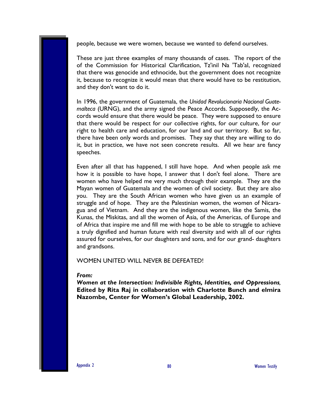people, because we were women, because we wanted to defend ourselves.

These are just three examples of many thousands of cases. The report of the of the Commission for Historical Clarification, Tz'inil Na 'Tab'aI, recognized that there was genocide and ethnocide, but the government does not recognize it, because to recognize it would mean that there would have to be restitution, and they don't want to do it.

In 1996, the government of Guatemala, the *Unidad Revolucionaria Nacional Guatemalteca* (URNG), and the army signed the Peace Accords. Supposedly, the Accords would ensure that there would be peace. They were supposed to ensure that there would be respect for our collective rights, for our culture, for our right to health care and education, for our land and our territory. But so far, there have been only words and promises. They say that they are willing to do it, but in practice, we have not seen concrete results. All we hear are fancy speeches.

Even after all that has happened, I still have hope. And when people ask me how it is possible to have hope, I answer that I don't feel alone. There are women who have helped me very much through their example. They are the Mayan women of Guatemala and the women of civil society. But they are also you. They are the South African women who have given us an example of struggle and of hope. They are the Palestinian women, the women of Nicaragua and of Vietnam. And they are the indigenous women, like the Samis, the Kunas, the Miskitas, and all the women of Asia, of the Americas, of Europe and of Africa that inspire me and fill me with hope to be able to struggle to achieve a truly dignified and human future with real diversity and with all of our rights assured for ourselves, for our daughters and sons, and for our grand- daughters and grandsons.

WOMEN UNITED WILL NEVER BE DEFEATED!

### *From:*

*Women at the Intersection: Indivisible Rights, Identities, and Oppressions,* **Edited by Rita Raj in collaboration with Charlotte Bunch and elmira Nazombe, Center for Women's Global Leadership, 2002.**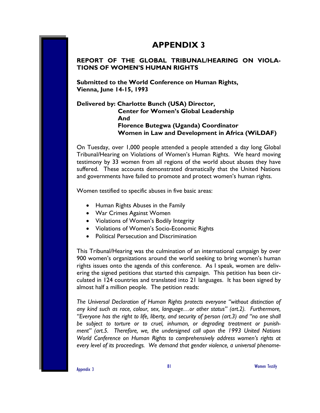## **REPORT OF THE GLOBAL TRIBUNAL/HEARING ON VIOLA-TIONS OF WOMEN'S HUMAN RIGHTS**

**Submitted to the World Conference on Human Rights, Vienna, June 14-15, 1993** 

**Delivered by: Charlotte Bunch (USA) Director, Center for Women's Global Leadership And Florence Butegwa (Uganda) Coordinator Women in Law and Development in Africa (WiLDAF)** 

On Tuesday, over 1,000 people attended a people attended a day long Global Tribunal/Hearing on Violations of Women's Human Rights. We heard moving testimony by 33 women from all regions of the world about abuses they have suffered. These accounts demonstrated dramatically that the United Nations and governments have failed to promote and protect women's human rights.

Women testified to specific abuses in five basic areas:

- Human Rights Abuses in the Family
- War Crimes Against Women
- Violations of Women's Bodily Integrity
- Violations of Women's Socio-Economic Rights
- Political Persecution and Discrimination

This Tribunal/Hearing was the culmination of an international campaign by over 900 women's organizations around the world seeking to bring women's human rights issues onto the agenda of this conference. As I speak, women are delivering the signed petitions that started this campaign. This petition has been circulated in 124 countries and translated into 21 languages. It has been signed by almost half a million people. The petition reads:

*The Universal Declaration of Human Rights protects everyone "without distinction of any kind such as race, colour, sex, language…or other status" (art.2). Furthermore, "Everyone has the right to life, liberty, and security of person (art.3) and "no one shall be subject to torture or to cruel, inhuman, or degrading treatment or punishment" (art.5. Therefore, we, the undersigned call upon the 1993 United Nations World Conference on Human Rights to comprehensively address women's rights at every level of its proceedings. We demand that gender violence, a universal phenome-*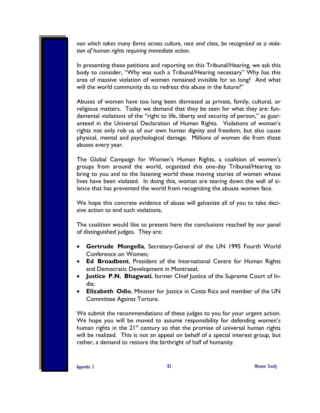*non which takes many forms across culture, race and class, be recognized as a violation of human rights requiring immediate action.* 

In presenting these petitions and reporting on this Tribunal/Hearing, we ask this body to consider, "Why was such a Tribunal/Hearing necessary" Why has this area of massive violation of women remained invisible for so long? And what will the world community do to redress this abuse in the future?"

Abuses of women have too long been dismissed as private, family, cultural, or religious matters. Today we demand that they be seen for what they are: fundamental violations of the "right to life, liberty and security of person," as guaranteed in the Universal Declaration of Human Rights. Violations of woman's rights not only rob us of our own human dignity and freedom, but also cause physical, mental and psychological damage. Millions of women die from these abuses every year.

The Global Campaign for Women's Human Rights, a coalition of women's groups from around the world, organized this one-day Tribunal/Hearing to bring to you and to the listening world these moving stories of women whose lives have been violated. In doing this, woman are tearing down the wall of silence that has prevented the world from recognizing the abuses women face.

We hope this concrete evidence of abuse will galvanize all of you to take decisive action to end such violations.

The coalition would like to present here the conclusions reached by our panel of distinguished judges. They are:

- **Gertrude Mongella**, Secretary-General of the UN 1995 Fourth World Conference on Women;
- **Ed Broadbent**, President of the International Centre for Human Rights and Democratic Development in Montraeal;
- **Justice P.N. Bhagwati**, former Chief Justice of the Supreme Court of India;
- **Elizabeth Odio**, Minister for Justice in Costa Rica and member of the UN Committee Against Torture.

We submit the recommendations of these judges to you for your urgent action. We hope you will be moved to assume responsibility for defending women's human rights in the  $21^{st}$  century so that the promise of universal human rights will be realized. This is not an appeal on behalf of a special interest group, but rather, a demand to restore the birthright of half of humanity.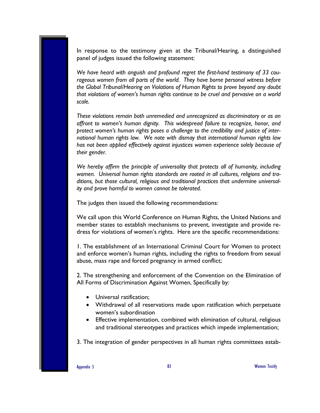In response to the testimony given at the Tribunal/Hearing, a distinguished panel of judges issued the following statement:

*We have heard with anguish and profound regret the first-hand testimony of 33 courageous women from all parts of the world. They have borne personal witness before the Global Tribunal/Hearing on Violations of Human Rights to prove beyond any doubt that violations of women's human rights continue to be cruel and pervasive on a world scale.* 

*These violations remain both unremedied and unrecognized as discriminatory or as an affront to women's human dignity. This widespread failure to recognize, honor, and protect women's human rights poses a challenge to the credibility and justice of international human rights law. We note with dismay that international human rights law has not been applied effectively against injustices women experience solely because of their gender.* 

*We hereby affirm the principle of universality that protects all of humanity, including women. Universal human rights standards are rooted in all cultures, religions and traditions, but those cultural, religious and traditional practices that undermine universality and prove harmful to women cannot be tolerated.* 

The judges then issued the following recommendations:

We call upon this World Conference on Human Rights, the United Nations and member states to establish mechanisms to prevent, investigate and provide redress for violations of women's rights. Here are the specific recommendations:

1. The establishment of an International Criminal Court for Women to protect and enforce women's human rights, including the rights to freedom from sexual abuse, mass rape and forced pregnancy in armed conflict;

2. The strengthening and enforcement of the Convention on the Elimination of All Forms of Discrimination Against Women, Specifically by:

- Universal ratification;
- Withdrawal of all reservations made upon ratification which perpetuate women's subordination
- Effective implementation, combined with elimination of cultural, religious and traditional stereotypes and practices which impede implementation;

3. The integration of gender perspectives in all human rights committees estab-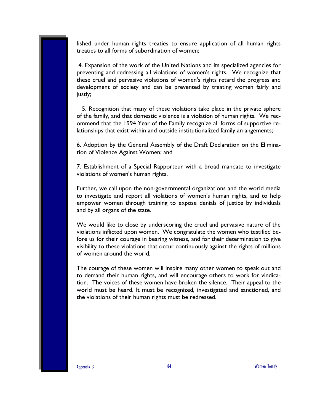lished under human rights treaties to ensure application of all human rights treaties to all forms of subordination of women;

 4. Expansion of the work of the United Nations and its specialized agencies for preventing and redressing all violations of women's rights. We recognize that these cruel and pervasive violations of women's rights retard the progress and development of society and can be prevented by treating women fairly and justly;

 5. Recognition that many of these violations take place in the private sphere of the family, and that domestic violence is a violation of human rights. We recommend that the 1994 Year of the Family recognize all forms of supportive relationships that exist within and outside institutionalized family arrangements;

6. Adoption by the General Assembly of the Draft Declaration on the Elimination of Violence Against Women; and

7. Establishment of a Special Rapporteur with a broad mandate to investigate violations of women's human rights.

Further, we call upon the non-governmental organizations and the world media to investigate and report all violations of women's human rights, and to help empower women through training to expose denials of justice by individuals and by all organs of the state.

We would like to close by underscoring the cruel and pervasive nature of the violations inflicted upon women. We congratulate the women who testified before us for their courage in bearing witness, and for their determination to give visibility to these violations that occur continuously against the rights of millions of women around the world.

The courage of these women will inspire many other women to speak out and to demand their human rights, and will encourage others to work for vindication. The voices of these women have broken the silence. Their appeal to the world must be heard. It must be recognized, investigated and sanctioned, and the violations of their human rights must be redressed.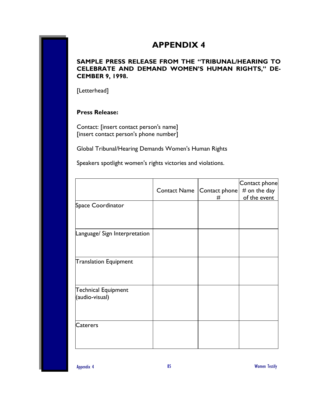## **SAMPLE PRESS RELEASE FROM THE "TRIBUNAL/HEARING TO CELEBRATE AND DEMAND WOMEN'S HUMAN RIGHTS," DE-CEMBER 9, 1998.**

[Letterhead]

## **Press Release:**

Contact: [insert contact person's name] [insert contact person's phone number]

Global Tribunal/Hearing Demands Women's Human Rights

Speakers spotlight women's rights victories and violations.

|                                       | <b>Contact Name</b> | Contact phone<br># | Contact phone<br>$#$ on the day<br>of the event |
|---------------------------------------|---------------------|--------------------|-------------------------------------------------|
| Space Coordinator                     |                     |                    |                                                 |
| Language/ Sign Interpretation         |                     |                    |                                                 |
| <b>Translation Equipment</b>          |                     |                    |                                                 |
| Technical Equipment<br>(audio-visual) |                     |                    |                                                 |
| Caterers                              |                     |                    |                                                 |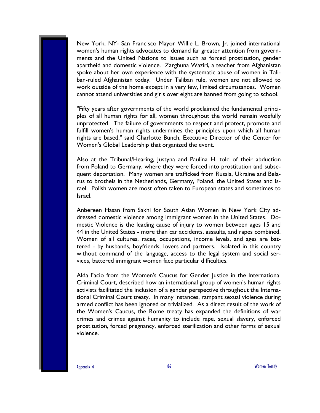New York, NY- San Francisco Mayor Willie L. Brown, Jr. joined international women's human rights advocates to demand far greater attention from governments and the United Nations to issues such as forced prostitution, gender apartheid and domestic violence. Zarghuna Waziri, a teacher from Afghanistan spoke about her own experience with the systematic abuse of women in Taliban-ruled Afghanistan today. Under Taliban rule, women are not allowed to work outside of the home except in a very few, limited circumstances. Women cannot attend universities and girls over eight are banned from going to school.

"Fifty years after governments of the world proclaimed the fundamental principles of all human rights for all, women throughout the world remain woefully unprotected. The failure of governments to respect and protect, promote and fulfill women's human rights undermines the principles upon which all human rights are based," said Charlotte Bunch, Executive Director of the Center for Women's Global Leadership that organized the event.

Also at the Tribunal/Hearing, Justyna and Paulina H. told of their abduction from Poland to Germany, where they were forced into prostitution and subsequent deportation. Many women are trafficked from Russia, Ukraine and Belarus to brothels in the Netherlands, Germany, Poland, the United States and Israel. Polish women are most often taken to European states and sometimes to Israel.

Anbereen Hasan from Sakhi for South Asian Women in New York City addressed domestic violence among immigrant women in the United States. Domestic Violence is the leading cause of injury to women between ages 15 and 44 in the United States - more than car accidents, assaults, and rapes combined. Women of all cultures, races, occupations, income levels, and ages are battered - by husbands, boyfriends, lovers and partners. Isolated in this country without command of the language, access to the legal system and social services, battered immigrant women face particular difficulties.

Alda Facio from the Women's Caucus for Gender Justice in the International Criminal Court, described how an international group of women's human rights activists facilitated the inclusion of a gender perspective throughout the International Criminal Court treaty. In many instances, rampant sexual violence during armed conflict has been ignored or trivialized. As a direct result of the work of the Women's Caucus, the Rome treaty has expanded the definitions of war crimes and crimes against humanity to include rape, sexual slavery, enforced prostitution, forced pregnancy, enforced sterilization and other forms of sexual violence.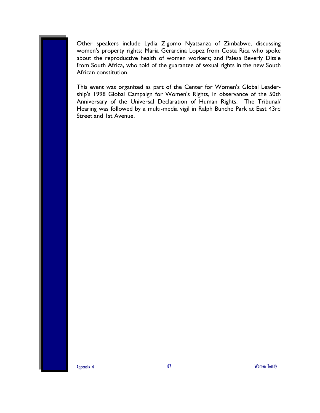Other speakers include Lydia Zigomo Nyatsanza of Zimbabwe, discussing women's property rights; Maria Gerardina Lopez from Costa Rica who spoke about the reproductive health of women workers; and Palesa Beverly Ditsie from South Africa, who told of the guarantee of sexual rights in the new South African constitution.

This event was organized as part of the Center for Women's Global Leadership's 1998 Global Campaign for Women's Rights, in observance of the 50th Anniversary of the Universal Declaration of Human Rights. The Tribunal/ Hearing was followed by a multi-media vigil in Ralph Bunche Park at East 43rd Street and 1st Avenue.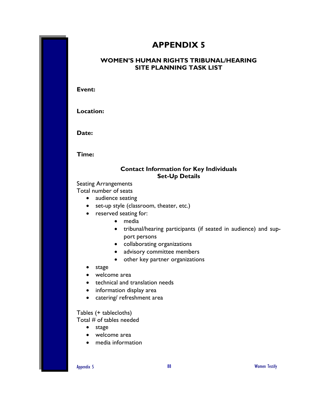## **WOMEN'S HUMAN RIGHTS TRIBUNAL/HEARING SITE PLANNING TASK LIST**

### **Event:**

**Location:** 

**Date:** 

**Time:** 

## **Contact Information for Key Individuals Set-Up Details**

Seating Arrangements

Total number of seats

- audience seating
- set-up style (classroom, theater, etc.)
- reserved seating for:
	- media
	- tribunal/hearing participants (if seated in audience) and support persons
	- collaborating organizations
	- advisory committee members
	- other key partner organizations
- **stage**
- welcome area
- technical and translation needs
- information display area
- catering/ refreshment area

Tables (+ tablecloths)

Total # of tables needed

- stage
- welcome area
- media information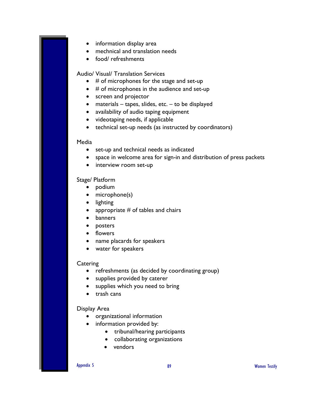- information display area
- mechnical and translation needs
- food/ refreshments

Audio/ Visual/ Translation Services

- $\bullet$  # of microphones for the stage and set-up
- $\bullet$  # of microphones in the audience and set-up
- screen and projector
- materials tapes, slides, etc. to be displayed
- availability of audio taping equipment
- videotaping needs, if applicable
- technical set-up needs (as instructed by coordinators)

#### Media

- set-up and technical needs as indicated
- space in welcome area for sign-in and distribution of press packets
- interview room set-up

### Stage/ Platform

- podium
- microphone(s)
- **lighting**
- appropriate  $#$  of tables and chairs
- **banners**
- posters
- flowers
- name placards for speakers
- water for speakers

### **Catering**

- refreshments (as decided by coordinating group)
- supplies provided by caterer
- supplies which you need to bring
- trash cans

### Display Area

- organizational information
- information provided by:
	- tribunal/hearing participants
	- collaborating organizations
	- vendors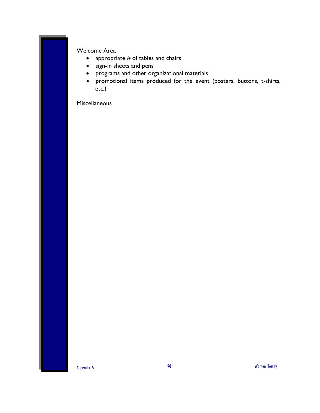## Welcome Area

- appropriate  $#$  of tables and chairs
- sign-in sheets and pens
- programs and other organizational materials
- promotional items produced for the event (posters, buttons, t-shirts, etc.)

Miscellaneous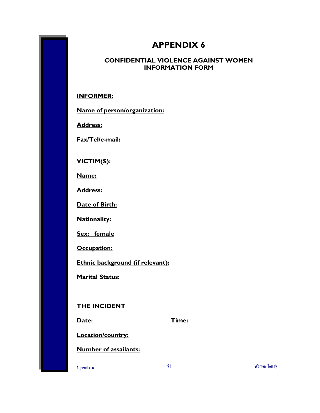## **CONFIDENTIAL VIOLENCE AGAINST WOMEN INFORMATION FORM**

### **INFORMER:**

**Name of person/organization:**

**Address:**

**Fax/Tel/e-mail:**

## **VICTIM(S):**

**Name:**

**Address:**

**Date of Birth:**

**Nationality:**

**Sex: female**

**Occupation:**

**Ethnic background (if relevant):**

**Marital Status:**

# **THE INCIDENT**

**Date: Time:**

**Location/country:**

**Number of assailants:**